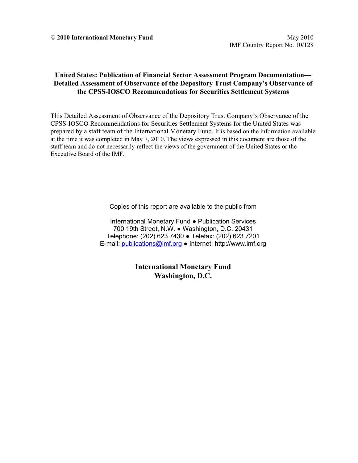### **United States: Publication of Financial Sector Assessment Program Documentation— Detailed Assessment of Observance of the Depository Trust Company's Observance of the CPSS-IOSCO Recommendations for Securities Settlement Systems**

This Detailed Assessment of Observance of the Depository Trust Company's Observance of the CPSS-IOSCO Recommendations for Securities Settlement Systems for the United States was prepared by a staff team of the International Monetary Fund. It is based on the information available at the time it was completed in May 7, 2010. The views expressed in this document are those of the staff team and do not necessarily reflect the views of the government of the United States or the Executive Board of the IMF.

Copies of this report are available to the public from

International Monetary Fund ● Publication Services 700 19th Street, N.W. ● Washington, D.C. 20431 Telephone: (202) 623 7430 ● Telefax: (202) 623 7201 E-mail: publications@imf.org ● Internet: http://www.imf.org

> **International Monetary Fund Washington, D.C.**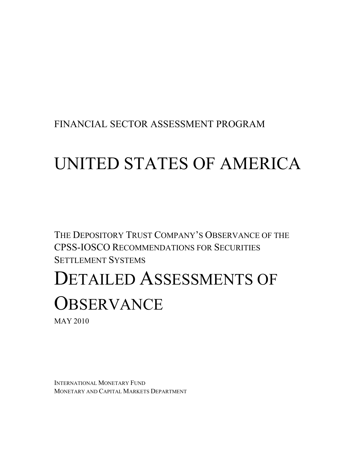FINANCIAL SECTOR ASSESSMENT PROGRAM

# UNITED STATES OF AMERICA

THE DEPOSITORY TRUST COMPANY'S OBSERVANCE OF THE CPSS-IOSCO RECOMMENDATIONS FOR SECURITIES SETTLEMENT SYSTEMS

# DETAILED ASSESSMENTS OF **OBSERVANCE**

MAY 2010

INTERNATIONAL MONETARY FUND MONETARY AND CAPITAL MARKETS DEPARTMENT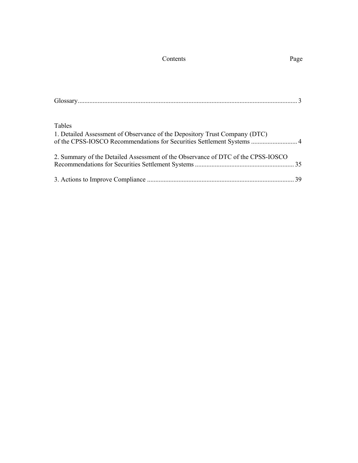| Contents | Page |
|----------|------|
|----------|------|

| Tables                                                                                                                                               |  |
|------------------------------------------------------------------------------------------------------------------------------------------------------|--|
| 1. Detailed Assessment of Observance of the Depository Trust Company (DTC)<br>of the CPSS-IOSCO Recommendations for Securities Settlement Systems  4 |  |
| 2. Summary of the Detailed Assessment of the Observance of DTC of the CPSS-IOSCO                                                                     |  |
|                                                                                                                                                      |  |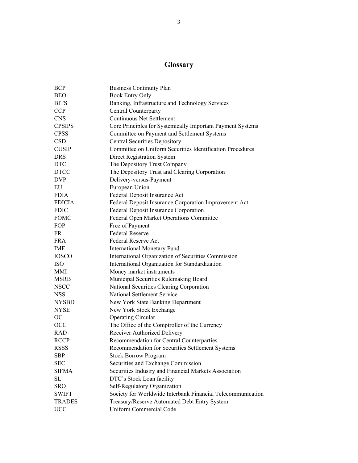# **Glossary**

| <b>BCP</b>    | <b>Business Continuity Plan</b>                             |
|---------------|-------------------------------------------------------------|
| <b>BEO</b>    | <b>Book Entry Only</b>                                      |
| <b>BITS</b>   | Banking, Infrastructure and Technology Services             |
| <b>CCP</b>    | <b>Central Counterparty</b>                                 |
| <b>CNS</b>    | <b>Continuous Net Settlement</b>                            |
| <b>CPSIPS</b> | Core Principles for Systemically Important Payment Systems  |
| <b>CPSS</b>   | Committee on Payment and Settlement Systems                 |
| <b>CSD</b>    | <b>Central Securities Depository</b>                        |
| <b>CUSIP</b>  | Committee on Uniform Securities Identification Procedures   |
| <b>DRS</b>    | Direct Registration System                                  |
| <b>DTC</b>    | The Depository Trust Company                                |
| <b>DTCC</b>   | The Depository Trust and Clearing Corporation               |
| <b>DVP</b>    | Delivery-versus-Payment                                     |
| EU            | European Union                                              |
| <b>FDIA</b>   | Federal Deposit Insurance Act                               |
| <b>FDICIA</b> | Federal Deposit Insurance Corporation Improvement Act       |
| <b>FDIC</b>   | Federal Deposit Insurance Corporation                       |
| <b>FOMC</b>   | Federal Open Market Operations Committee                    |
| FOP           | Free of Payment                                             |
| FR            | <b>Federal Reserve</b>                                      |
| <b>FRA</b>    | <b>Federal Reserve Act</b>                                  |
| <b>IMF</b>    | <b>International Monetary Fund</b>                          |
| <b>IOSCO</b>  | International Organization of Securities Commission         |
| <b>ISO</b>    | International Organization for Standardization              |
| <b>MMI</b>    | Money market instruments                                    |
| <b>MSRB</b>   | Municipal Securities Rulemaking Board                       |
| <b>NSCC</b>   | National Securities Clearing Corporation                    |
| <b>NSS</b>    | National Settlement Service                                 |
| <b>NYSBD</b>  | New York State Banking Department                           |
| <b>NYSE</b>   | New York Stock Exchange                                     |
| <b>OC</b>     | <b>Operating Circular</b>                                   |
| <b>OCC</b>    | The Office of the Comptroller of the Currency               |
| <b>RAD</b>    | Receiver Authorized Delivery                                |
| <b>RCCP</b>   | Recommendation for Central Counterparties                   |
| <b>RSSS</b>   | Recommendation for Securities Settlement Systems            |
| <b>SBP</b>    | <b>Stock Borrow Program</b>                                 |
| <b>SEC</b>    | Securities and Exchange Commission                          |
| <b>SIFMA</b>  | Securities Industry and Financial Markets Association       |
| SL            | DTC's Stock Loan facility                                   |
| <b>SRO</b>    | Self-Regulatory Organization                                |
| <b>SWIFT</b>  | Society for Worldwide Interbank Financial Telecommunication |
| <b>TRADES</b> | Treasury/Reserve Automated Debt Entry System                |
| <b>UCC</b>    | <b>Uniform Commercial Code</b>                              |
|               |                                                             |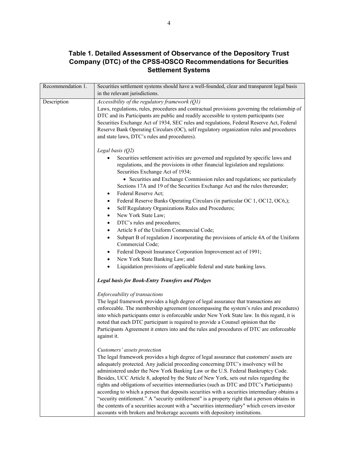### **Table 1. Detailed Assessment of Observance of the Depository Trust Company (DTC) of the CPSS-IOSCO Recommendations for Securities Settlement Systems**

| Recommendation 1. | Securities settlement systems should have a well-founded, clear and transparent legal basis                                                                                                                                                                                                                                                                                                                                                                                                                                                                                                                                                                                                                                                                                                                                                                                                                                                                                         |
|-------------------|-------------------------------------------------------------------------------------------------------------------------------------------------------------------------------------------------------------------------------------------------------------------------------------------------------------------------------------------------------------------------------------------------------------------------------------------------------------------------------------------------------------------------------------------------------------------------------------------------------------------------------------------------------------------------------------------------------------------------------------------------------------------------------------------------------------------------------------------------------------------------------------------------------------------------------------------------------------------------------------|
|                   | in the relevant jurisdictions.                                                                                                                                                                                                                                                                                                                                                                                                                                                                                                                                                                                                                                                                                                                                                                                                                                                                                                                                                      |
| Description       | Accessibility of the regulatory framework (Q1)<br>Laws, regulations, rules, procedures and contractual provisions governing the relationship of<br>DTC and its Participants are public and readily accessible to system participants (see<br>Securities Exchange Act of 1934, SEC rules and regulations, Federal Reserve Act, Federal<br>Reserve Bank Operating Circulars (OC), self regulatory organization rules and procedures<br>and state laws, DTC's rules and procedures).                                                                                                                                                                                                                                                                                                                                                                                                                                                                                                   |
|                   | Legal basis $(Q2)$<br>Securities settlement activities are governed and regulated by specific laws and<br>regulations, and the provisions in other financial legislation and regulations:<br>Securities Exchange Act of 1934;<br>• Securities and Exchange Commission rules and regulations; see particularly<br>Sections 17A and 19 of the Securities Exchange Act and the rules thereunder;<br>Federal Reserve Act;<br>٠<br>Federal Reserve Banks Operating Circulars (in particular OC 1, OC12, OC6,);<br>٠<br>Self Regulatory Organizations Rules and Procedures;<br>$\bullet$<br>New York State Law;<br>$\bullet$<br>DTC's rules and procedures;<br>$\bullet$<br>Article 8 of the Uniform Commercial Code;<br>$\bullet$<br>Subpart B of regulation J incorporating the provisions of article 4A of the Uniform<br>$\bullet$<br>Commercial Code;<br>Federal Deposit Insurance Corporation Improvement act of 1991;<br>$\bullet$<br>New York State Banking Law; and<br>$\bullet$ |
|                   | Liquidation provisions of applicable federal and state banking laws.<br>٠<br><b>Legal basis for Book-Entry Transfers and Pledges</b>                                                                                                                                                                                                                                                                                                                                                                                                                                                                                                                                                                                                                                                                                                                                                                                                                                                |
|                   | Enforceability of transactions<br>The legal framework provides a high degree of legal assurance that transactions are<br>enforceable. The membership agreement (encompassing the system's rules and procedures)<br>into which participants enter is enforceable under New York State law. In this regard, it is<br>noted that each DTC participant is required to provide a Counsel opinion that the<br>Participants Agreement it enters into and the rules and procedures of DTC are enforceable<br>against it.                                                                                                                                                                                                                                                                                                                                                                                                                                                                    |
|                   | Customers' assets protection<br>The legal framework provides a high degree of legal assurance that customers' assets are<br>adequately protected. Any judicial proceeding concerning DTC's insolvency will be<br>administered under the New York Banking Law or the U.S. Federal Bankruptcy Code.<br>Besides, UCC Article 8, adopted by the State of New York, sets out rules regarding the<br>rights and obligations of securities intermediaries (such as DTC and DTC's Participants)<br>according to which a person that deposits securities with a securities intermediary obtains a<br>"security entitlement." A "security entitlement" is a property right that a person obtains in<br>the contents of a securities account with a "securities intermediary" which covers investor<br>accounts with brokers and brokerage accounts with depository institutions.                                                                                                              |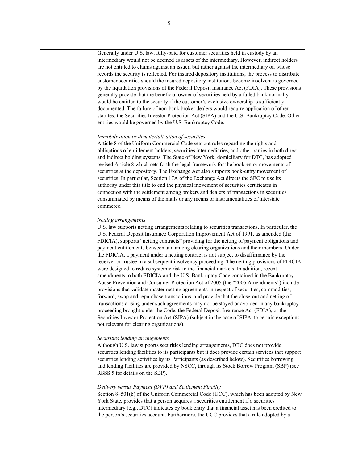Generally under U.S. law, fully-paid for customer securities held in custody by an intermediary would not be deemed as assets of the intermediary. However, indirect holders are not entitled to claims against an issuer, but rather against the intermediary on whose records the security is reflected. For insured depository institutions, the process to distribute customer securities should the insured depository institutions become insolvent is governed by the liquidation provisions of the Federal Deposit Insurance Act (FDIA). These provisions generally provide that the beneficial owner of securities held by a failed bank normally would be entitled to the security if the customer's exclusive ownership is sufficiently documented. The failure of non-bank broker dealers would require application of other statutes: the Securities Investor Protection Act (SIPA) and the U.S. Bankruptcy Code. Other entities would be governed by the U.S. Bankruptcy Code.

#### *Immobilization or dematerialization of securities*

Article 8 of the Uniform Commercial Code sets out rules regarding the rights and obligations of entitlement holders, securities intermediaries, and other parties in both direct and indirect holding systems. The State of New York, domiciliary for DTC, has adopted revised Article 8 which sets forth the legal framework for the book-entry movements of securities at the depository. The Exchange Act also supports book-entry movement of securities. In particular, Section 17A of the Exchange Act directs the SEC to use its authority under this title to end the physical movement of securities certificates in connection with the settlement among brokers and dealers of transactions in securities consummated by means of the mails or any means or instrumentalities of interstate commerce.

#### *Netting arrangements*

U.S. law supports netting arrangements relating to securities transactions. In particular, the U.S. Federal Deposit Insurance Corporation Improvement Act of 1991, as amended (the FDICIA), supports "netting contracts" providing for the netting of payment obligations and payment entitlements between and among clearing organizations and their members. Under the FDICIA, a payment under a netting contract is not subject to disaffirmance by the receiver or trustee in a subsequent insolvency proceeding. The netting provisions of FDICIA were designed to reduce systemic risk to the financial markets. In addition, recent amendments to both FDICIA and the U.S. Bankruptcy Code contained in the Bankruptcy Abuse Prevention and Consumer Protection Act of 2005 (the "2005 Amendments") include provisions that validate master netting agreements in respect of securities, commodities, forward, swap and repurchase transactions, and provide that the close-out and netting of transactions arising under such agreements may not be stayed or avoided in any bankruptcy proceeding brought under the Code, the Federal Deposit Insurance Act (FDIA), or the Securities Investor Protection Act (SIPA) (subject in the case of SIPA, to certain exceptions not relevant for clearing organizations).

#### *Securities lending arrangements*

Although U.S. law supports securities lending arrangements, DTC does not provide securities lending facilities to its participants but it does provide certain services that support securities lending activities by its Participants (as described below). Securities borrowing and lending facilities are provided by NSCC, through its Stock Borrow Program (SBP) (see RSSS 5 for details on the SBP).

#### *Delivery versus Payment (DVP) and Settlement Finality*

Section 8–501(b) of the Uniform Commercial Code (UCC), which has been adopted by New York State, provides that a person acquires a securities entitlement if a securities intermediary (e.g., DTC) indicates by book entry that a financial asset has been credited to the person's securities account. Furthermore, the UCC provides that a rule adopted by a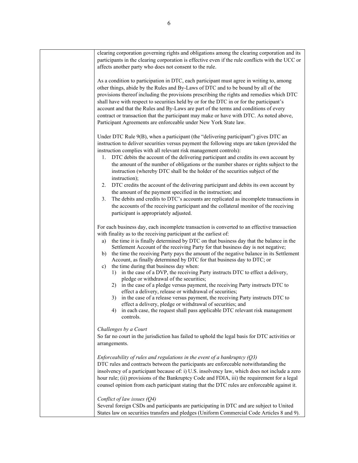| clearing corporation governing rights and obligations among the clearing corporation and its<br>participants in the clearing corporation is effective even if the rule conflicts with the UCC or<br>affects another party who does not consent to the rule.                                                                                                                                                                                                                                                                                                                                                                                                                                                                                                                                                                                                                                                                                                                                                                                                                                                                                                      |
|------------------------------------------------------------------------------------------------------------------------------------------------------------------------------------------------------------------------------------------------------------------------------------------------------------------------------------------------------------------------------------------------------------------------------------------------------------------------------------------------------------------------------------------------------------------------------------------------------------------------------------------------------------------------------------------------------------------------------------------------------------------------------------------------------------------------------------------------------------------------------------------------------------------------------------------------------------------------------------------------------------------------------------------------------------------------------------------------------------------------------------------------------------------|
| As a condition to participation in DTC, each participant must agree in writing to, among<br>other things, abide by the Rules and By-Laws of DTC and to be bound by all of the<br>provisions thereof including the provisions prescribing the rights and remedies which DTC<br>shall have with respect to securities held by or for the DTC in or for the participant's<br>account and that the Rules and By-Laws are part of the terms and conditions of every<br>contract or transaction that the participant may make or have with DTC. As noted above,<br>Participant Agreements are enforceable under New York State law.                                                                                                                                                                                                                                                                                                                                                                                                                                                                                                                                    |
| Under DTC Rule 9(B), when a participant (the "delivering participant") gives DTC an<br>instruction to deliver securities versus payment the following steps are taken (provided the<br>instruction complies with all relevant risk management controls):<br>DTC debits the account of the delivering participant and credits its own account by<br>1.<br>the amount of the number of obligations or the number shares or rights subject to the                                                                                                                                                                                                                                                                                                                                                                                                                                                                                                                                                                                                                                                                                                                   |
| instruction (whereby DTC shall be the holder of the securities subject of the<br>instruction);<br>DTC credits the account of the delivering participant and debits its own account by<br>2.<br>the amount of the payment specified in the instruction; and<br>The debits and credits to DTC's accounts are replicated as incomplete transactions in<br>3.<br>the accounts of the receiving participant and the collateral monitor of the receiving                                                                                                                                                                                                                                                                                                                                                                                                                                                                                                                                                                                                                                                                                                               |
| participant is appropriately adjusted.<br>For each business day, each incomplete transaction is converted to an effective transaction<br>with finality as to the receiving participant at the earliest of:<br>the time it is finally determined by DTC on that business day that the balance in the<br>a)<br>Settlement Account of the receiving Party for that business day is not negative;<br>the time the receiving Party pays the amount of the negative balance in its Settlement<br>b)<br>Account, as finally determined by DTC for that business day to DTC; or<br>the time during that business day when:<br>c)<br>in the case of a DVP, the receiving Party instructs DTC to effect a delivery,<br>1)<br>pledge or withdrawal of the securities;<br>2) in the case of a pledge versus payment, the receiving Party instructs DTC to<br>effect a delivery, release or withdrawal of securities;<br>in the case of a release versus payment, the receiving Party instructs DTC to<br>3)<br>effect a delivery, pledge or withdrawal of securities; and<br>in each case, the request shall pass applicable DTC relevant risk management<br>4)<br>controls. |
| Challenges by a Court<br>So far no court in the jurisdiction has failed to uphold the legal basis for DTC activities or<br>arrangements.                                                                                                                                                                                                                                                                                                                                                                                                                                                                                                                                                                                                                                                                                                                                                                                                                                                                                                                                                                                                                         |
| Enforceability of rules and regulations in the event of a bankruptcy $(Q3)$<br>DTC rules and contracts between the participants are enforceable notwithstanding the<br>insolvency of a participant because of: i) U.S. insolvency law, which does not include a zero<br>hour rule; (ii) provisions of the Bankruptcy Code and FDIA, iii) the requirement for a legal<br>counsel opinion from each participant stating that the DTC rules are enforceable against it.                                                                                                                                                                                                                                                                                                                                                                                                                                                                                                                                                                                                                                                                                             |
| Conflict of law issues $(Q4)$<br>Several foreign CSDs and participants are participating in DTC and are subject to United<br>States law on securities transfers and pledges (Uniform Commercial Code Articles 8 and 9).                                                                                                                                                                                                                                                                                                                                                                                                                                                                                                                                                                                                                                                                                                                                                                                                                                                                                                                                          |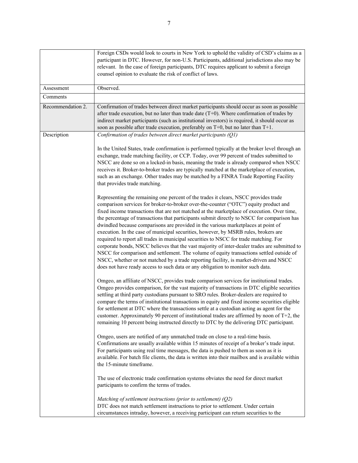|                   | Foreign CSDs would look to courts in New York to uphold the validity of CSD's claims as a<br>participant in DTC. However, for non-U.S. Participants, additional jurisdictions also may be<br>relevant. In the case of foreign participants, DTC requires applicant to submit a foreign<br>counsel opinion to evaluate the risk of conflict of laws.                                                                                                                                                                                                                                                                                                                                                                                                                                                                                                                                                                                                                                                                                                                                                                                                                                                                                                                                                                                                                                                                                                                                                                                                                                                                                                                                                                                                                                                                                                                                                                                                                                                                                                                                                                                                                                                                                                                                                                                                                                                                                                                                                                                                                                                                                                                                                                                                                                                                                                 |
|-------------------|-----------------------------------------------------------------------------------------------------------------------------------------------------------------------------------------------------------------------------------------------------------------------------------------------------------------------------------------------------------------------------------------------------------------------------------------------------------------------------------------------------------------------------------------------------------------------------------------------------------------------------------------------------------------------------------------------------------------------------------------------------------------------------------------------------------------------------------------------------------------------------------------------------------------------------------------------------------------------------------------------------------------------------------------------------------------------------------------------------------------------------------------------------------------------------------------------------------------------------------------------------------------------------------------------------------------------------------------------------------------------------------------------------------------------------------------------------------------------------------------------------------------------------------------------------------------------------------------------------------------------------------------------------------------------------------------------------------------------------------------------------------------------------------------------------------------------------------------------------------------------------------------------------------------------------------------------------------------------------------------------------------------------------------------------------------------------------------------------------------------------------------------------------------------------------------------------------------------------------------------------------------------------------------------------------------------------------------------------------------------------------------------------------------------------------------------------------------------------------------------------------------------------------------------------------------------------------------------------------------------------------------------------------------------------------------------------------------------------------------------------------------------------------------------------------------------------------------------------------|
| Assessment        | Observed.                                                                                                                                                                                                                                                                                                                                                                                                                                                                                                                                                                                                                                                                                                                                                                                                                                                                                                                                                                                                                                                                                                                                                                                                                                                                                                                                                                                                                                                                                                                                                                                                                                                                                                                                                                                                                                                                                                                                                                                                                                                                                                                                                                                                                                                                                                                                                                                                                                                                                                                                                                                                                                                                                                                                                                                                                                           |
| Comments          |                                                                                                                                                                                                                                                                                                                                                                                                                                                                                                                                                                                                                                                                                                                                                                                                                                                                                                                                                                                                                                                                                                                                                                                                                                                                                                                                                                                                                                                                                                                                                                                                                                                                                                                                                                                                                                                                                                                                                                                                                                                                                                                                                                                                                                                                                                                                                                                                                                                                                                                                                                                                                                                                                                                                                                                                                                                     |
| Recommendation 2. | Confirmation of trades between direct market participants should occur as soon as possible<br>after trade execution, but no later than trade date $(T+0)$ . Where confirmation of trades by<br>indirect market participants (such as institutional investors) is required, it should occur as<br>soon as possible after trade execution, preferably on T+0, but no later than T+1.                                                                                                                                                                                                                                                                                                                                                                                                                                                                                                                                                                                                                                                                                                                                                                                                                                                                                                                                                                                                                                                                                                                                                                                                                                                                                                                                                                                                                                                                                                                                                                                                                                                                                                                                                                                                                                                                                                                                                                                                                                                                                                                                                                                                                                                                                                                                                                                                                                                                  |
| Description       | Confirmation of trades between direct market participants (Q1)<br>In the United States, trade confirmation is performed typically at the broker level through an<br>exchange, trade matching facility, or CCP. Today, over 99 percent of trades submitted to<br>NSCC are done so on a locked-in basis, meaning the trade is already compared when NSCC<br>receives it. Broker-to-broker trades are typically matched at the marketplace of execution,<br>such as an exchange. Other trades may be matched by a FINRA Trade Reporting Facility<br>that provides trade matching.<br>Representing the remaining one percent of the trades it clears, NSCC provides trade<br>comparison services for broker-to-broker over-the-counter ("OTC") equity product and<br>fixed income transactions that are not matched at the marketplace of execution. Over time,<br>the percentage of transactions that participants submit directly to NSCC for comparison has<br>dwindled because comparisons are provided in the various marketplaces at point of<br>execution. In the case of municipal securities, however, by MSRB rules, brokers are<br>required to report all trades in municipal securities to NSCC for trade matching. For<br>corporate bonds, NSCC believes that the vast majority of inter-dealer trades are submitted to<br>NSCC for comparison and settlement. The volume of equity transactions settled outside of<br>NSCC, whether or not matched by a trade reporting facility, is market-driven and NSCC<br>does not have ready access to such data or any obligation to monitor such data.<br>Omgeo, an affiliate of NSCC, provides trade comparison services for institutional trades.<br>Omgeo provides comparison, for the vast majority of transactions in DTC eligible securities<br>settling at third party custodians pursuant to SRO rules. Broker-dealers are required to<br>compare the terms of institutional transactions in equity and fixed income securities eligible<br>for settlement at DTC where the transactions settle at a custodian acting as agent for the<br>customer. Approximately 90 percent of institutional trades are affirmed by noon of $T+2$ , the<br>remaining 10 percent being instructed directly to DTC by the delivering DTC participant.<br>Omgeo, users are notified of any unmatched trade on close to a real-time basis.<br>Confirmations are usually available within 15 minutes of receipt of a broker's trade input.<br>For participants using real time messages, the data is pushed to them as soon as it is<br>available. For batch file clients, the data is written into their mailbox and is available within<br>the 15-minute timeframe.<br>The use of electronic trade confirmation systems obviates the need for direct market<br>participants to confirm the terms of trades. |
|                   | Matching of settlement instructions (prior to settlement) $(Q2)$<br>DTC does not match settlement instructions to prior to settlement. Under certain<br>circumstances intraday, however, a receiving participant can return securities to the                                                                                                                                                                                                                                                                                                                                                                                                                                                                                                                                                                                                                                                                                                                                                                                                                                                                                                                                                                                                                                                                                                                                                                                                                                                                                                                                                                                                                                                                                                                                                                                                                                                                                                                                                                                                                                                                                                                                                                                                                                                                                                                                                                                                                                                                                                                                                                                                                                                                                                                                                                                                       |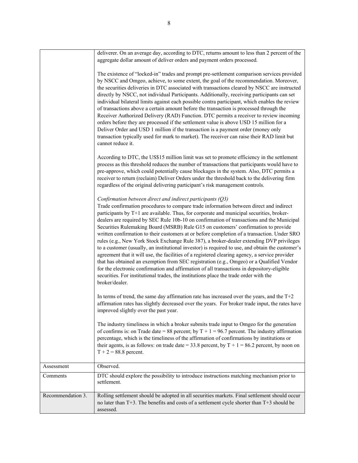|                   | deliverer. On an average day, according to DTC, returns amount to less than 2 percent of the<br>aggregate dollar amount of deliver orders and payment orders processed.                                                                                                                                                                                                                                                                                                                                                                                                                                                                                                                                                                                                                                                                                                                                                                                                                                                                                                                                                                  |
|-------------------|------------------------------------------------------------------------------------------------------------------------------------------------------------------------------------------------------------------------------------------------------------------------------------------------------------------------------------------------------------------------------------------------------------------------------------------------------------------------------------------------------------------------------------------------------------------------------------------------------------------------------------------------------------------------------------------------------------------------------------------------------------------------------------------------------------------------------------------------------------------------------------------------------------------------------------------------------------------------------------------------------------------------------------------------------------------------------------------------------------------------------------------|
|                   | The existence of "locked-in" trades and prompt pre-settlement comparison services provided<br>by NSCC and Omgeo, achieve, to some extent, the goal of the recommendation. Moreover,<br>the securities deliveries in DTC associated with transactions cleared by NSCC are instructed<br>directly by NSCC, not individual Participants. Additionally, receiving participants can set<br>individual bilateral limits against each possible contra participant, which enables the review<br>of transactions above a certain amount before the transaction is processed through the<br>Receiver Authorized Delivery (RAD) Function. DTC permits a receiver to review incoming<br>orders before they are processed if the settlement value is above USD 15 million for a<br>Deliver Order and USD 1 million if the transaction is a payment order (money only<br>transaction typically used for mark to market). The receiver can raise their RAD limit but<br>cannot reduce it.                                                                                                                                                               |
|                   | According to DTC, the US\$15 million limit was set to promote efficiency in the settlement<br>process as this threshold reduces the number of transactions that participants would have to<br>pre-approve, which could potentially cause blockages in the system. Also, DTC permits a<br>receiver to return (reclaim) Deliver Orders under the threshold back to the delivering firm<br>regardless of the original delivering participant's risk management controls.                                                                                                                                                                                                                                                                                                                                                                                                                                                                                                                                                                                                                                                                    |
|                   | Confirmation between direct and indirect participants (Q3)<br>Trade confirmation procedures to compare trade information between direct and indirect<br>participants by T+1 are available. Thus, for corporate and municipal securities, broker-<br>dealers are required by SEC Rule 10b-10 on confirmation of transactions and the Municipal<br>Securities Rulemaking Board (MSRB) Rule G15 on customers' confirmation to provide<br>written confirmation to their customers at or before completion of a transaction. Under SRO<br>rules (e.g., New York Stock Exchange Rule 387), a broker-dealer extending DVP privileges<br>to a customer (usually, an institutional investor) is required to use, and obtain the customer's<br>agreement that it will use, the facilities of a registered clearing agency, a service provider<br>that has obtained an exemption from SEC registration (e.g., Omgeo) or a Qualified Vendor<br>for the electronic confirmation and affirmation of all transactions in depository-eligible<br>securities. For institutional trades, the institutions place the trade order with the<br>broker/dealer. |
|                   | In terms of trend, the same day affirmation rate has increased over the years, and the $T+2$<br>affirmation rates has slightly decreased over the years. For broker trade input, the rates have<br>improved slightly over the past year.                                                                                                                                                                                                                                                                                                                                                                                                                                                                                                                                                                                                                                                                                                                                                                                                                                                                                                 |
|                   | The industry timeliness in which a broker submits trade input to Omgeo for the generation<br>of confirms is: on Trade date = 88 percent; by $T + 1 = 96.7$ percent. The industry affirmation<br>percentage, which is the timeliness of the affirmation of confirmations by institutions or<br>their agents, is as follows: on trade date = 33.8 percent, by $T + 1 = 86.2$ percent, by noon on<br>$T + 2 = 88.8$ percent.                                                                                                                                                                                                                                                                                                                                                                                                                                                                                                                                                                                                                                                                                                                |
| Assessment        | Observed.                                                                                                                                                                                                                                                                                                                                                                                                                                                                                                                                                                                                                                                                                                                                                                                                                                                                                                                                                                                                                                                                                                                                |
| Comments          | DTC should explore the possibility to introduce instructions matching mechanism prior to<br>settlement.                                                                                                                                                                                                                                                                                                                                                                                                                                                                                                                                                                                                                                                                                                                                                                                                                                                                                                                                                                                                                                  |
| Recommendation 3. | Rolling settlement should be adopted in all securities markets. Final settlement should occur<br>no later than T+3. The benefits and costs of a settlement cycle shorter than T+3 should be<br>assessed.                                                                                                                                                                                                                                                                                                                                                                                                                                                                                                                                                                                                                                                                                                                                                                                                                                                                                                                                 |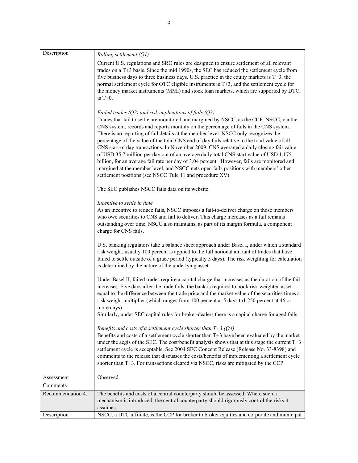| Description       | Rolling settlement (Q1)                                                                                                                                                                                                                                                                                                                                                                                                                                                                                                                                                                                                                                                                                                                                                                                                                                                          |
|-------------------|----------------------------------------------------------------------------------------------------------------------------------------------------------------------------------------------------------------------------------------------------------------------------------------------------------------------------------------------------------------------------------------------------------------------------------------------------------------------------------------------------------------------------------------------------------------------------------------------------------------------------------------------------------------------------------------------------------------------------------------------------------------------------------------------------------------------------------------------------------------------------------|
|                   | Current U.S. regulations and SRO rules are designed to ensure settlement of all relevant<br>trades on a T+3 basis. Since the mid 1990s, the SEC has reduced the settlement cycle from<br>five business days to three business days. U.S. practice in the equity markets is $T+3$ , the<br>normal settlement cycle for OTC eligible instruments is T+3, and the settlement cycle for<br>the money market instruments (MMI) and stock loan markets, which are supported by DTC,<br>is $T+0$ .                                                                                                                                                                                                                                                                                                                                                                                      |
|                   | Failed trades $(Q2)$ and risk implications of fails $(Q3)$<br>Trades that fail to settle are monitored and margined by NSCC, as the CCP. NSCC, via the<br>CNS system, records and reports monthly on the percentage of fails in the CNS system.<br>There is no reporting of fail details at the member level. NSCC only recognizes the<br>percentage of the value of the total CNS end of day fails relative to the total value of all<br>CNS start of day transactions. In November 2009, CNS averaged a daily closing fail value<br>of USD 35.7 million per day out of an average daily total CNS start value of USD 1.175<br>billion, for an average fail rate per day of 3.04 percent. However, fails are monitored and<br>margined at the member level, and NSCC nets open fails positions with members' other<br>settlement positions (see NSCC Tule 11 and procedure XV). |
|                   | The SEC publishes NSCC fails data on its website.                                                                                                                                                                                                                                                                                                                                                                                                                                                                                                                                                                                                                                                                                                                                                                                                                                |
|                   | Incentive to settle in time<br>As an incentive to reduce fails, NSCC imposes a fail-to-deliver charge on those members<br>who owe securities to CNS and fail to deliver. This charge increases as a fail remains<br>outstanding over time. NSCC also maintains, as part of its margin formula, a component<br>charge for CNS fails.                                                                                                                                                                                                                                                                                                                                                                                                                                                                                                                                              |
|                   | U.S. banking regulators take a balance sheet approach under Basel I, under which a standard<br>risk weight, usually 100 percent is applied to the full notional amount of trades that have<br>failed to settle outside of a grace period (typically 5 days). The risk weighting for calculation<br>is determined by the nature of the underlying asset.                                                                                                                                                                                                                                                                                                                                                                                                                                                                                                                          |
|                   | Under Basel II, failed trades require a capital charge that increases as the duration of the fail<br>increases. Five days after the trade fails, the bank is required to book risk weighted asset<br>equal to the difference between the trade price and the market value of the securities times a<br>risk weight multiplier (which ranges from 100 percent at 5 days to 1.250 percent at 46 or<br>more days).<br>Similarly, under SEC capital rules for broker-dealers there is a capital charge for aged fails.                                                                                                                                                                                                                                                                                                                                                               |
|                   | Benefits and costs of a settlement cycle shorter than $T+3$ (Q4)<br>Benefits and costs of a settlement cycle shorter than T+3 have been evaluated by the market<br>under the aegis of the SEC. The cost/benefit analysis shows that at this stage the current T+3<br>settlement cycle is acceptable. See 2004 SEC Concept Release (Release No. 33-8398) and<br>comments to the release that discusses the costs/benefits of implementing a settlement cycle<br>shorter than T+3. For transactions cleared via NSCC, risks are mitigated by the CCP.                                                                                                                                                                                                                                                                                                                              |
| Assessment        | Observed.                                                                                                                                                                                                                                                                                                                                                                                                                                                                                                                                                                                                                                                                                                                                                                                                                                                                        |
| Comments          |                                                                                                                                                                                                                                                                                                                                                                                                                                                                                                                                                                                                                                                                                                                                                                                                                                                                                  |
| Recommendation 4. | The benefits and costs of a central counterparty should be assessed. Where such a<br>mechanism is introduced, the central counterparty should rigorously control the risks it<br>assumes.                                                                                                                                                                                                                                                                                                                                                                                                                                                                                                                                                                                                                                                                                        |
| Description       | NSCC, a DTC affiliate, is the CCP for broker to broker equities and corporate and municipal                                                                                                                                                                                                                                                                                                                                                                                                                                                                                                                                                                                                                                                                                                                                                                                      |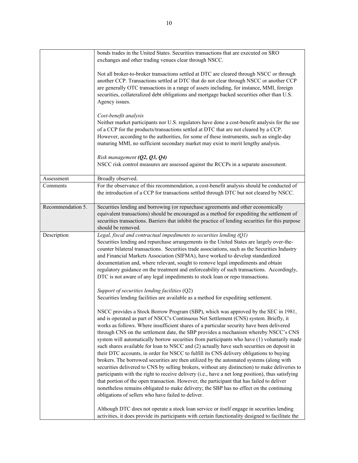|                   | bonds trades in the United States. Securities transactions that are executed on SRO<br>exchanges and other trading venues clear through NSCC.                                                                                                                                                                                                                                                                                                                                                                                                                                                                                                                                                                                                                                                                                                                                                                                                                                                                                                                                                                                                                                                          |
|-------------------|--------------------------------------------------------------------------------------------------------------------------------------------------------------------------------------------------------------------------------------------------------------------------------------------------------------------------------------------------------------------------------------------------------------------------------------------------------------------------------------------------------------------------------------------------------------------------------------------------------------------------------------------------------------------------------------------------------------------------------------------------------------------------------------------------------------------------------------------------------------------------------------------------------------------------------------------------------------------------------------------------------------------------------------------------------------------------------------------------------------------------------------------------------------------------------------------------------|
|                   | Not all broker-to-broker transactions settled at DTC are cleared through NSCC or through<br>another CCP. Transactions settled at DTC that do not clear through NSCC or another CCP<br>are generally OTC transactions in a range of assets including, for instance, MMI, foreign<br>securities, collateralized debt obligations and mortgage backed securities other than U.S.<br>Agency issues.                                                                                                                                                                                                                                                                                                                                                                                                                                                                                                                                                                                                                                                                                                                                                                                                        |
|                   | Cost-benefit analysis<br>Neither market participants nor U.S. regulators have done a cost-benefit analysis for the use<br>of a CCP for the products/transactions settled at DTC that are not cleared by a CCP.<br>However, according to the authorities, for some of these instruments, such as single-day<br>maturing MMI, no sufficient secondary market may exist to merit lengthy analysis.                                                                                                                                                                                                                                                                                                                                                                                                                                                                                                                                                                                                                                                                                                                                                                                                        |
|                   | Risk management $(Q2, Q3, Q4)$<br>NSCC risk control measures are assessed against the RCCPs in a separate assessment.                                                                                                                                                                                                                                                                                                                                                                                                                                                                                                                                                                                                                                                                                                                                                                                                                                                                                                                                                                                                                                                                                  |
| Assessment        | Broadly observed.                                                                                                                                                                                                                                                                                                                                                                                                                                                                                                                                                                                                                                                                                                                                                                                                                                                                                                                                                                                                                                                                                                                                                                                      |
| Comments          | For the observance of this recommendation, a cost-benefit analysis should be conducted of<br>the introduction of a CCP for transactions settled through DTC but not cleared by NSCC.                                                                                                                                                                                                                                                                                                                                                                                                                                                                                                                                                                                                                                                                                                                                                                                                                                                                                                                                                                                                                   |
| Recommendation 5. | Securities lending and borrowing (or repurchase agreements and other economically<br>equivalent transactions) should be encouraged as a method for expediting the settlement of<br>securities transactions. Barriers that inhibit the practice of lending securities for this purpose<br>should be removed.                                                                                                                                                                                                                                                                                                                                                                                                                                                                                                                                                                                                                                                                                                                                                                                                                                                                                            |
| Description       | Legal, fiscal and contractual impediments to securities lending (Q1)<br>Securities lending and repurchase arrangements in the United States are largely over-the-<br>counter bilateral transactions. Securities trade associations, such as the Securities Industry<br>and Financial Markets Association (SIFMA), have worked to develop standardized<br>documentation and, where relevant, sought to remove legal impediments and obtain<br>regulatory guidance on the treatment and enforceability of such transactions. Accordingly,<br>DTC is not aware of any legal impediments to stock loan or repo transactions.                                                                                                                                                                                                                                                                                                                                                                                                                                                                                                                                                                               |
|                   | Support of securities lending facilities (Q2)<br>Securities lending facilities are available as a method for expediting settlement.                                                                                                                                                                                                                                                                                                                                                                                                                                                                                                                                                                                                                                                                                                                                                                                                                                                                                                                                                                                                                                                                    |
|                   | NSCC provides a Stock Borrow Program (SBP), which was approved by the SEC in 1981,<br>and is operated as part of NSCC's Continuous Net Settlement (CNS) system. Briefly, it<br>works as follows. Where insufficient shares of a particular security have been delivered<br>through CNS on the settlement date, the SBP provides a mechanism whereby NSCC's CNS<br>system will automatically borrow securities from participants who have (1) voluntarily made<br>such shares available for loan to NSCC and (2) actually have such securities on deposit in<br>their DTC accounts, in order for NSCC to fulfill its CNS delivery obligations to buying<br>brokers. The borrowed securities are then utilized by the automated systems (along with<br>securities delivered to CNS by selling brokers, without any distinction) to make deliveries to<br>participants with the right to receive delivery (i.e., have a net long position), thus satisfying<br>that portion of the open transaction. However, the participant that has failed to deliver<br>nonetheless remains obligated to make delivery; the SBP has no effect on the continuing<br>obligations of sellers who have failed to deliver. |
|                   | Although DTC does not operate a stock loan service or itself engage in securities lending<br>activities, it does provide its participants with certain functionality designed to facilitate the                                                                                                                                                                                                                                                                                                                                                                                                                                                                                                                                                                                                                                                                                                                                                                                                                                                                                                                                                                                                        |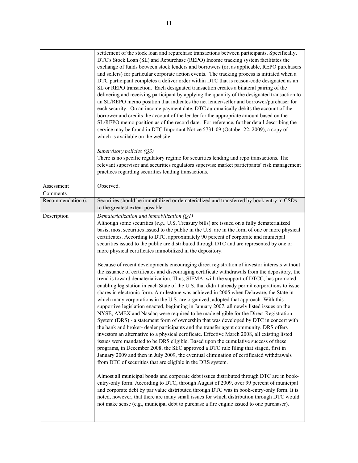|                   | settlement of the stock loan and repurchase transactions between participants. Specifically,<br>DTC's Stock Loan (SL) and Repurchase (REPO) Income tracking system facilitates the<br>exchange of funds between stock lenders and borrowers (or, as applicable, REPO purchasers<br>and sellers) for particular corporate action events. The tracking process is initiated when a<br>DTC participant completes a deliver order within DTC that is reason-code designated as an<br>SL or REPO transaction. Each designated transaction creates a bilateral pairing of the<br>delivering and receiving participant by applying the quantity of the designated transaction to<br>an SL/REPO memo position that indicates the net lender/seller and borrower/purchaser for<br>each security. On an income payment date, DTC automatically debits the account of the<br>borrower and credits the account of the lender for the appropriate amount based on the<br>SL/REPO memo position as of the record date. For reference, further detail describing the<br>service may be found in DTC Important Notice 5731-09 (October 22, 2009), a copy of<br>which is available on the website.<br>Supervisory policies $(Q3)$<br>There is no specific regulatory regime for securities lending and repo transactions. The<br>relevant supervisor and securities regulators supervise market participants' risk management<br>practices regarding securities lending transactions.                                                                                                                                                                                                                                                                                                                                                                                                                                                                                                                                                                                                                                                                                                                                                                                                                                                                                                         |
|-------------------|------------------------------------------------------------------------------------------------------------------------------------------------------------------------------------------------------------------------------------------------------------------------------------------------------------------------------------------------------------------------------------------------------------------------------------------------------------------------------------------------------------------------------------------------------------------------------------------------------------------------------------------------------------------------------------------------------------------------------------------------------------------------------------------------------------------------------------------------------------------------------------------------------------------------------------------------------------------------------------------------------------------------------------------------------------------------------------------------------------------------------------------------------------------------------------------------------------------------------------------------------------------------------------------------------------------------------------------------------------------------------------------------------------------------------------------------------------------------------------------------------------------------------------------------------------------------------------------------------------------------------------------------------------------------------------------------------------------------------------------------------------------------------------------------------------------------------------------------------------------------------------------------------------------------------------------------------------------------------------------------------------------------------------------------------------------------------------------------------------------------------------------------------------------------------------------------------------------------------------------------------------------------------------------------------------------------------------------------------------------------------|
| Assessment        | Observed.                                                                                                                                                                                                                                                                                                                                                                                                                                                                                                                                                                                                                                                                                                                                                                                                                                                                                                                                                                                                                                                                                                                                                                                                                                                                                                                                                                                                                                                                                                                                                                                                                                                                                                                                                                                                                                                                                                                                                                                                                                                                                                                                                                                                                                                                                                                                                                    |
| Comments          |                                                                                                                                                                                                                                                                                                                                                                                                                                                                                                                                                                                                                                                                                                                                                                                                                                                                                                                                                                                                                                                                                                                                                                                                                                                                                                                                                                                                                                                                                                                                                                                                                                                                                                                                                                                                                                                                                                                                                                                                                                                                                                                                                                                                                                                                                                                                                                              |
| Recommendation 6. | Securities should be immobilized or dematerialized and transferred by book entry in CSDs<br>to the greatest extent possible.                                                                                                                                                                                                                                                                                                                                                                                                                                                                                                                                                                                                                                                                                                                                                                                                                                                                                                                                                                                                                                                                                                                                                                                                                                                                                                                                                                                                                                                                                                                                                                                                                                                                                                                                                                                                                                                                                                                                                                                                                                                                                                                                                                                                                                                 |
| Description       | Dematerialization and immobilization (Q1)<br>Although some securities (e.g., U.S. Treasury bills) are issued on a fully dematerialized<br>basis, most securities issued to the public in the U.S. are in the form of one or more physical<br>certificates. According to DTC, approximately 90 percent of corporate and municipal<br>securities issued to the public are distributed through DTC and are represented by one or<br>more physical certificates immobilized in the depository.<br>Because of recent developments encouraging direct registration of investor interests without<br>the issuance of certificates and discouraging certificate withdrawals from the depository, the<br>trend is toward dematerialization. Thus, SIFMA, with the support of DTCC, has promoted<br>enabling legislation in each State of the U.S. that didn't already permit corporations to issue<br>shares in electronic form. A milestone was achieved in 2005 when Delaware, the State in<br>which many corporations in the U.S. are organized, adopted that approach. With this<br>supportive legislation enacted, beginning in January 2007, all newly listed issues on the<br>NYSE, AMEX and Nasdaq were required to be made eligible for the Direct Registration<br>System (DRS) - a statement form of ownership that was developed by DTC in concert with<br>the bank and broker- dealer participants and the transfer agent community. DRS offers<br>investors an alternative to a physical certificate. Effective March 2008, all existing listed<br>issues were mandated to be DRS eligible. Based upon the cumulative success of these<br>programs, in December 2008, the SEC approved a DTC rule filing that staged, first in<br>January 2009 and then in July 2009, the eventual elimination of certificated withdrawals<br>from DTC of securities that are eligible in the DRS system.<br>Almost all municipal bonds and corporate debt issues distributed through DTC are in book-<br>entry-only form. According to DTC, through August of 2009, over 99 percent of municipal<br>and corporate debt by par value distributed through DTC was in book-entry-only form. It is<br>noted, however, that there are many small issues for which distribution through DTC would<br>not make sense (e.g., municipal debt to purchase a fire engine issued to one purchaser). |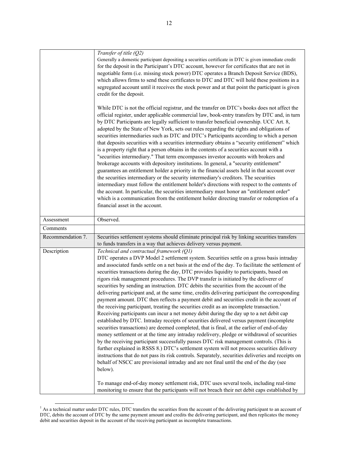| Transfer of title (Q2)<br>Generally a domestic participant depositing a securities certificate in DTC is given immediate credit<br>for the deposit in the Participant's DTC account, however for certificates that are not in<br>negotiable form (i.e. missing stock power) DTC operates a Branch Deposit Service (BDS),<br>which allows firms to send these certificates to DTC and DTC will hold these positions in a<br>segregated account until it receives the stock power and at that point the participant is given<br>credit for the deposit.<br>While DTC is not the official registrar, and the transfer on DTC's books does not affect the<br>official register, under applicable commercial law, book-entry transfers by DTC and, in turn<br>by DTC Participants are legally sufficient to transfer beneficial ownership. UCC Art. 8,<br>adopted by the State of New York, sets out rules regarding the rights and obligations of<br>securities intermediaries such as DTC and DTC's Participants according to which a person<br>that deposits securities with a securities intermediary obtains a "security entitlement" which<br>is a property right that a person obtains in the contents of a securities account with a<br>"securities intermediary." That term encompasses investor accounts with brokers and<br>brokerage accounts with depository institutions. In general, a "security entitlement"<br>guarantees an entitlement holder a priority in the financial assets held in that account over<br>the securities intermediary or the security intermediary's creditors. The securities<br>intermediary must follow the entitlement holder's directions with respect to the contents of<br>the account. In particular, the securities intermediary must honor an "entitlement order" |
|---------------------------------------------------------------------------------------------------------------------------------------------------------------------------------------------------------------------------------------------------------------------------------------------------------------------------------------------------------------------------------------------------------------------------------------------------------------------------------------------------------------------------------------------------------------------------------------------------------------------------------------------------------------------------------------------------------------------------------------------------------------------------------------------------------------------------------------------------------------------------------------------------------------------------------------------------------------------------------------------------------------------------------------------------------------------------------------------------------------------------------------------------------------------------------------------------------------------------------------------------------------------------------------------------------------------------------------------------------------------------------------------------------------------------------------------------------------------------------------------------------------------------------------------------------------------------------------------------------------------------------------------------------------------------------------------------------------------------------------------------------------------------------------------------------------|
| which is a communication from the entitlement holder directing transfer or redemption of a                                                                                                                                                                                                                                                                                                                                                                                                                                                                                                                                                                                                                                                                                                                                                                                                                                                                                                                                                                                                                                                                                                                                                                                                                                                                                                                                                                                                                                                                                                                                                                                                                                                                                                                    |
| financial asset in the account.                                                                                                                                                                                                                                                                                                                                                                                                                                                                                                                                                                                                                                                                                                                                                                                                                                                                                                                                                                                                                                                                                                                                                                                                                                                                                                                                                                                                                                                                                                                                                                                                                                                                                                                                                                               |
| Observed.                                                                                                                                                                                                                                                                                                                                                                                                                                                                                                                                                                                                                                                                                                                                                                                                                                                                                                                                                                                                                                                                                                                                                                                                                                                                                                                                                                                                                                                                                                                                                                                                                                                                                                                                                                                                     |
|                                                                                                                                                                                                                                                                                                                                                                                                                                                                                                                                                                                                                                                                                                                                                                                                                                                                                                                                                                                                                                                                                                                                                                                                                                                                                                                                                                                                                                                                                                                                                                                                                                                                                                                                                                                                               |
| Securities settlement systems should eliminate principal risk by linking securities transfers<br>to funds transfers in a way that achieves delivery versus payment.                                                                                                                                                                                                                                                                                                                                                                                                                                                                                                                                                                                                                                                                                                                                                                                                                                                                                                                                                                                                                                                                                                                                                                                                                                                                                                                                                                                                                                                                                                                                                                                                                                           |
| Technical and contractual framework (Q1)<br>DTC operates a DVP Model 2 settlement system. Securities settle on a gross basis intraday<br>and associated funds settle on a net basis at the end of the day. To facilitate the settlement of<br>securities transactions during the day, DTC provides liquidity to participants, based on<br>rigors risk management procedures. The DVP transfer is initiated by the deliverer of<br>securities by sending an instruction. DTC debits the securities from the account of the<br>delivering participant and, at the same time, credits delivering participant the corresponding<br>payment amount. DTC then reflects a payment debit and securities credit in the account of<br>the receiving participant, treating the securities credit as an incomplete transaction. <sup>1</sup><br>Receiving participants can incur a net money debit during the day up to a net debit cap<br>established by DTC. Intraday receipts of securities delivered versus payment (incomplete<br>securities transactions) are deemed completed, that is final, at the earlier of end-of-day<br>money settlement or at the time any intraday redelivery, pledge or withdrawal of securities<br>by the receiving participant successfully passes DTC risk management controls. (This is<br>further explained in RSSS 8.) DTC's settlement system will not process securities delivery<br>instructions that do not pass its risk controls. Separately, securities deliveries and receipts on<br>behalf of NSCC are provisional intraday and are not final until the end of the day (see<br>below).                                                                                                                                                                                     |
|                                                                                                                                                                                                                                                                                                                                                                                                                                                                                                                                                                                                                                                                                                                                                                                                                                                                                                                                                                                                                                                                                                                                                                                                                                                                                                                                                                                                                                                                                                                                                                                                                                                                                                                                                                                                               |

<sup>&</sup>lt;sup>1</sup> As a technical matter under DTC rules, DTC transfers the securities from the account of the delivering participant to an account of DTC, debits the account of DTC by the same payment amount and credits the delivering participant, and then replicates the money debit and securities deposit in the account of the receiving participant as incomplete transactions.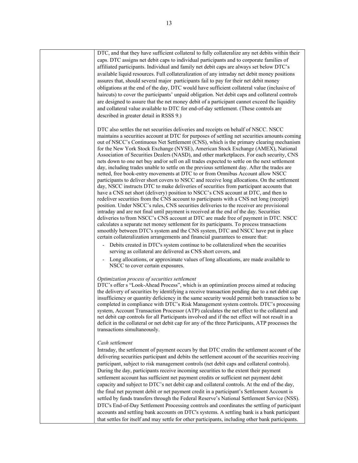| DTC, and that they have sufficient collateral to fully collateralize any net debits within their<br>caps. DTC assigns net debit caps to individual participants and to corporate families of<br>affiliated participants. Individual and family net debit caps are always set below DTC's<br>available liquid resources. Full collateralization of any intraday net debit money positions<br>assures that, should several major participants fail to pay for their net debit money<br>obligations at the end of the day, DTC would have sufficient collateral value (inclusive of<br>haircuts) to cover the participants' unpaid obligation. Net debit caps and collateral controls<br>are designed to assure that the net money debit of a participant cannot exceed the liquidity<br>and collateral value available to DTC for end-of-day settlement. (These controls are<br>described in greater detail in RSSS 9.)                                                                                                                                                                                                                                                                                                                                                                                                                                                                                                                                                                                                                                                                                                                                                                                                                                        |
|--------------------------------------------------------------------------------------------------------------------------------------------------------------------------------------------------------------------------------------------------------------------------------------------------------------------------------------------------------------------------------------------------------------------------------------------------------------------------------------------------------------------------------------------------------------------------------------------------------------------------------------------------------------------------------------------------------------------------------------------------------------------------------------------------------------------------------------------------------------------------------------------------------------------------------------------------------------------------------------------------------------------------------------------------------------------------------------------------------------------------------------------------------------------------------------------------------------------------------------------------------------------------------------------------------------------------------------------------------------------------------------------------------------------------------------------------------------------------------------------------------------------------------------------------------------------------------------------------------------------------------------------------------------------------------------------------------------------------------------------------------------|
| DTC also settles the net securities deliveries and receipts on behalf of NSCC. NSCC<br>maintains a securities account at DTC for purposes of settling net securities amounts coming<br>out of NSCC's Continuous Net Settlement (CNS), which is the primary clearing mechanism<br>for the New York Stock Exchange (NYSE), American Stock Exchange (AMEX), National<br>Association of Securities Dealers (NASD), and other marketplaces. For each security, CNS<br>nets down to one net buy and/or sell on all trades expected to settle on the next settlement<br>day, including trades unable to settle on the previous settlement day. After the trades are<br>netted, free book-entry movements at DTC to or from Omnibus Account allow NSCC<br>participants to deliver short covers to NSCC and receive long allocations. On the settlement<br>day, NSCC instructs DTC to make deliveries of securities from participant accounts that<br>have a CNS net short (delivery) position to NSCC's CNS account at DTC, and then to<br>redeliver securities from the CNS account to participants with a CNS net long (receipt)<br>position. Under NSCC's rules, CNS securities deliveries to the receiver are provisional<br>intraday and are not final until payment is received at the end of the day. Securities<br>deliveries to/from NSCC's CNS account at DTC are made free of payment in DTC. NSCC<br>calculates a separate net money settlement for its participants. To process transactions<br>smoothly between DTC's system and the CNS system, DTC and NSCC have put in place<br>certain collateralization arrangements and financial guarantees to ensure that:<br>Debits created in DTC's system continue to be collateralized when the securities |
| serving as collateral are delivered as CNS short covers, and<br>Long allocations, or approximate values of long allocations, are made available to<br>NSCC to cover certain exposures.                                                                                                                                                                                                                                                                                                                                                                                                                                                                                                                                                                                                                                                                                                                                                                                                                                                                                                                                                                                                                                                                                                                                                                                                                                                                                                                                                                                                                                                                                                                                                                       |
| Optimization process of securities settlement<br>DTC's offer s "Look-Ahead Process", which is an optimization process aimed at reducing<br>the delivery of securities by identifying a receive transaction pending due to a net debit cap<br>insufficiency or quantity deficiency in the same security would permit both transaction to be<br>completed in compliance with DTC's Risk Management system controls. DTC's processing<br>system, Account Transaction Processor (ATP) calculates the net effect to the collateral and<br>net debit cap controls for all Participants involved and if the net effect will not result in a<br>deficit in the collateral or net debit cap for any of the three Participants, ATP processes the<br>transactions simultaneously.                                                                                                                                                                                                                                                                                                                                                                                                                                                                                                                                                                                                                                                                                                                                                                                                                                                                                                                                                                                      |
| Cash settlement<br>Intraday, the settlement of payment occurs by that DTC credits the settlement account of the<br>delivering securities participant and debits the settlement account of the securities receiving<br>participant, subject to risk management controls (net debit caps and collateral controls).<br>During the day, participants receive incoming securities to the extent their payment<br>settlement account has sufficient net payment credits or sufficient net payment debit<br>capacity and subject to DTC's net debit cap and collateral controls. At the end of the day,<br>the final net payment debit or net payment credit in a participant's Settlement Account is<br>settled by funds transfers through the Federal Reserve's National Settlement Service (NSS).<br>DTC's End-of-Day Settlement Processing controls and coordinates the settling of participant<br>accounts and settling bank accounts on DTC's systems. A settling bank is a bank participant<br>that settles for itself and may settle for other participants, including other bank participants.                                                                                                                                                                                                                                                                                                                                                                                                                                                                                                                                                                                                                                                             |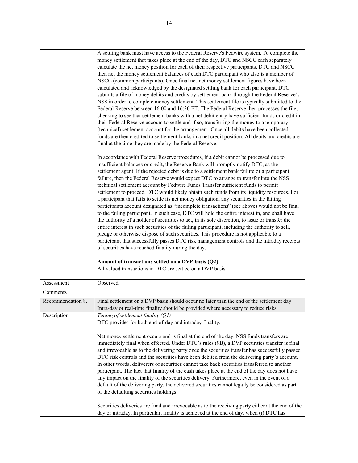|                   | A settling bank must have access to the Federal Reserve's Fedwire system. To complete the<br>money settlement that takes place at the end of the day, DTC and NSCC each separately<br>calculate the net money position for each of their respective participants. DTC and NSCC<br>then net the money settlement balances of each DTC participant who also is a member of<br>NSCC (common participants). Once final net-net money settlement figures have been<br>calculated and acknowledged by the designated settling bank for each participant, DTC<br>submits a file of money debits and credits by settlement bank through the Federal Reserve's<br>NSS in order to complete money settlement. This settlement file is typically submitted to the<br>Federal Reserve between 16:00 and 16:30 ET. The Federal Reserve then processes the file,<br>checking to see that settlement banks with a net debit entry have sufficient funds or credit in<br>their Federal Reserve account to settle and if so, transferring the money to a temporary<br>(technical) settlement account for the arrangement. Once all debits have been collected,<br>funds are then credited to settlement banks in a net credit position. All debits and credits are<br>final at the time they are made by the Federal Reserve.<br>In accordance with Federal Reserve procedures, if a debit cannot be processed due to<br>insufficient balances or credit, the Reserve Bank will promptly notify DTC, as the<br>settlement agent. If the rejected debit is due to a settlement bank failure or a participant<br>failure, then the Federal Reserve would expect DTC to arrange to transfer into the NSS<br>technical settlement account by Fedwire Funds Transfer sufficient funds to permit<br>settlement to proceed. DTC would likely obtain such funds from its liquidity resources. For<br>a participant that fails to settle its net money obligation, any securities in the failing<br>participants account designated as "incomplete transactions" (see above) would not be final<br>to the failing participant. In such case, DTC will hold the entire interest in, and shall have<br>the authority of a holder of securities to act, in its sole discretion, to issue or transfer the<br>entire interest in such securities of the failing participant, including the authority to sell,<br>pledge or otherwise dispose of such securities. This procedure is not applicable to a<br>participant that successfully passes DTC risk management controls and the intraday receipts<br>of securities have reached finality during the day.<br>Amount of transactions settled on a DVP basis (Q2)<br>All valued transactions in DTC are settled on a DVP basis. |
|-------------------|---------------------------------------------------------------------------------------------------------------------------------------------------------------------------------------------------------------------------------------------------------------------------------------------------------------------------------------------------------------------------------------------------------------------------------------------------------------------------------------------------------------------------------------------------------------------------------------------------------------------------------------------------------------------------------------------------------------------------------------------------------------------------------------------------------------------------------------------------------------------------------------------------------------------------------------------------------------------------------------------------------------------------------------------------------------------------------------------------------------------------------------------------------------------------------------------------------------------------------------------------------------------------------------------------------------------------------------------------------------------------------------------------------------------------------------------------------------------------------------------------------------------------------------------------------------------------------------------------------------------------------------------------------------------------------------------------------------------------------------------------------------------------------------------------------------------------------------------------------------------------------------------------------------------------------------------------------------------------------------------------------------------------------------------------------------------------------------------------------------------------------------------------------------------------------------------------------------------------------------------------------------------------------------------------------------------------------------------------------------------------------------------------------------------------------------------------------------------------------------------------------------------------------------------------------------------------------------------------------------------------------------------------------------------------------------------------------------------------------------------------|
| Assessment        | Observed.                                                                                                                                                                                                                                                                                                                                                                                                                                                                                                                                                                                                                                                                                                                                                                                                                                                                                                                                                                                                                                                                                                                                                                                                                                                                                                                                                                                                                                                                                                                                                                                                                                                                                                                                                                                                                                                                                                                                                                                                                                                                                                                                                                                                                                                                                                                                                                                                                                                                                                                                                                                                                                                                                                                                         |
| Comments          |                                                                                                                                                                                                                                                                                                                                                                                                                                                                                                                                                                                                                                                                                                                                                                                                                                                                                                                                                                                                                                                                                                                                                                                                                                                                                                                                                                                                                                                                                                                                                                                                                                                                                                                                                                                                                                                                                                                                                                                                                                                                                                                                                                                                                                                                                                                                                                                                                                                                                                                                                                                                                                                                                                                                                   |
| Recommendation 8. | Final settlement on a DVP basis should occur no later than the end of the settlement day.<br>Intra-day or real-time finality should be provided where necessary to reduce risks.                                                                                                                                                                                                                                                                                                                                                                                                                                                                                                                                                                                                                                                                                                                                                                                                                                                                                                                                                                                                                                                                                                                                                                                                                                                                                                                                                                                                                                                                                                                                                                                                                                                                                                                                                                                                                                                                                                                                                                                                                                                                                                                                                                                                                                                                                                                                                                                                                                                                                                                                                                  |
| Description       | Timing of settlement finality (Q1)<br>DTC provides for both end-of-day and intraday finality.<br>Net money settlement occurs and is final at the end of the day. NSS funds transfers are<br>immediately final when effected. Under DTC's rules (9B), a DVP securities transfer is final<br>and irrevocable as to the delivering party once the securities transfer has successfully passed<br>DTC risk controls and the securities have been debited from the delivering party's account.<br>In other words, deliverers of securities cannot take back securities transferred to another<br>participant. The fact that finality of the cash takes place at the end of the day does not have<br>any impact on the finality of the securities delivery. Furthermore, even in the event of a<br>default of the delivering party, the delivered securities cannot legally be considered as part<br>of the defaulting securities holdings.<br>Securities deliveries are final and irrevocable as to the receiving party either at the end of the<br>day or intraday. In particular, finality is achieved at the end of day, when (i) DTC has                                                                                                                                                                                                                                                                                                                                                                                                                                                                                                                                                                                                                                                                                                                                                                                                                                                                                                                                                                                                                                                                                                                                                                                                                                                                                                                                                                                                                                                                                                                                                                                                           |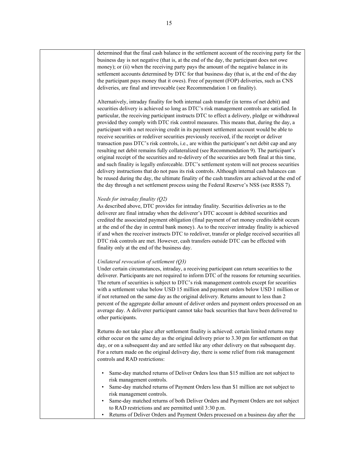| determined that the final cash balance in the settlement account of the receiving party for the<br>business day is not negative (that is, at the end of the day, the participant does not owe<br>money); or (ii) when the receiving party pays the amount of the negative balance in its<br>settlement accounts determined by DTC for that business day (that is, at the end of the day<br>the participant pays money that it owes). Free of payment (FOP) deliveries, such as CNS<br>deliveries, are final and irrevocable (see Recommendation 1 on finality).                                                                                                                                                                                                                                                                                                                                                                                                                                                                                                                                                                                                                                                                                                                          |
|------------------------------------------------------------------------------------------------------------------------------------------------------------------------------------------------------------------------------------------------------------------------------------------------------------------------------------------------------------------------------------------------------------------------------------------------------------------------------------------------------------------------------------------------------------------------------------------------------------------------------------------------------------------------------------------------------------------------------------------------------------------------------------------------------------------------------------------------------------------------------------------------------------------------------------------------------------------------------------------------------------------------------------------------------------------------------------------------------------------------------------------------------------------------------------------------------------------------------------------------------------------------------------------|
| Alternatively, intraday finality for both internal cash transfer (in terms of net debit) and<br>securities delivery is achieved so long as DTC's risk management controls are satisfied. In<br>particular, the receiving participant instructs DTC to effect a delivery, pledge or withdrawal<br>provided they comply with DTC risk control measures. This means that, during the day, a<br>participant with a net receiving credit in its payment settlement account would be able to<br>receive securities or redeliver securities previously received, if the receipt or deliver<br>transaction pass DTC's risk controls, i.e., are within the participant's net debit cap and any<br>resulting net debit remains fully collateralized (see Recommendation 9). The participant's<br>original receipt of the securities and re-delivery of the securities are both final at this time,<br>and such finality is legally enforceable. DTC's settlement system will not process securities<br>delivery instructions that do not pass its risk controls. Although internal cash balances can<br>be reused during the day, the ultimate finality of the cash transfers are achieved at the end of<br>the day through a net settlement process using the Federal Reserve's NSS (see RSSS 7). |
| Needs for intraday finality (Q2)<br>As described above, DTC provides for intraday finality. Securities deliveries as to the<br>deliverer are final intraday when the deliverer's DTC account is debited securities and<br>credited the associated payment obligation (final payment of net money credits/debit occurs<br>at the end of the day in central bank money). As to the receiver intraday finality is achieved<br>if and when the receiver instructs DTC to redeliver, transfer or pledge received securities all<br>DTC risk controls are met. However, cash transfers outside DTC can be effected with<br>finality only at the end of the business day.                                                                                                                                                                                                                                                                                                                                                                                                                                                                                                                                                                                                                       |
| Unilateral revocation of settlement $(Q3)$<br>Under certain circumstances, intraday, a receiving participant can return securities to the<br>deliverer. Participants are not required to inform DTC of the reasons for returning securities.<br>The return of securities is subject to DTC's risk management controls except for securities<br>with a settlement value below USD 15 million and payment orders below USD 1 million or<br>if not returned on the same day as the original delivery. Returns amount to less than 2<br>percent of the aggregate dollar amount of deliver orders and payment orders processed on an<br>average day. A deliverer participant cannot take back securities that have been delivered to<br>other participants.                                                                                                                                                                                                                                                                                                                                                                                                                                                                                                                                   |
| Returns do not take place after settlement finality is achieved: certain limited returns may<br>either occur on the same day as the original delivery prior to 3.30 pm for settlement on that<br>day, or on a subsequent day and are settled like any other delivery on that subsequent day.<br>For a return made on the original delivery day, there is some relief from risk management<br>controls and RAD restrictions:                                                                                                                                                                                                                                                                                                                                                                                                                                                                                                                                                                                                                                                                                                                                                                                                                                                              |
| Same-day matched returns of Deliver Orders less than \$15 million are not subject to<br>risk management controls.<br>Same-day matched returns of Payment Orders less than \$1 million are not subject to<br>risk management controls.<br>Same-day matched returns of both Deliver Orders and Payment Orders are not subject<br>to RAD restrictions and are permitted until 3:30 p.m.<br>Returns of Deliver Orders and Payment Orders processed on a business day after the<br>$\bullet$                                                                                                                                                                                                                                                                                                                                                                                                                                                                                                                                                                                                                                                                                                                                                                                                  |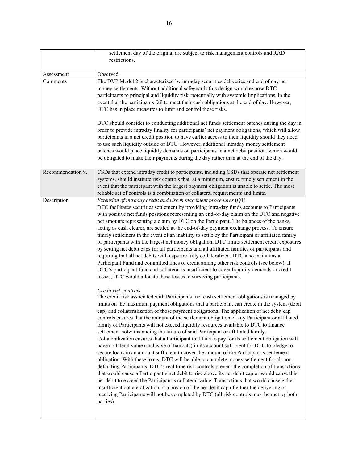|                   | settlement day of the original are subject to risk management controls and RAD                                                                                                                                                                                                                                                                                                                                                                                                                                                                                                                                                                                                                                                                                                                                                                                                                                                                                                                                                                                                                                                                                                                                                                                                                                                                                                                                                                                                                                                                                                                                                                                                                                                                                                                                                                                                                                                                                                                                                                                                                                                                                                                                                                                                                                                                                                                                                                                                                                                                                                                                                      |
|-------------------|-------------------------------------------------------------------------------------------------------------------------------------------------------------------------------------------------------------------------------------------------------------------------------------------------------------------------------------------------------------------------------------------------------------------------------------------------------------------------------------------------------------------------------------------------------------------------------------------------------------------------------------------------------------------------------------------------------------------------------------------------------------------------------------------------------------------------------------------------------------------------------------------------------------------------------------------------------------------------------------------------------------------------------------------------------------------------------------------------------------------------------------------------------------------------------------------------------------------------------------------------------------------------------------------------------------------------------------------------------------------------------------------------------------------------------------------------------------------------------------------------------------------------------------------------------------------------------------------------------------------------------------------------------------------------------------------------------------------------------------------------------------------------------------------------------------------------------------------------------------------------------------------------------------------------------------------------------------------------------------------------------------------------------------------------------------------------------------------------------------------------------------------------------------------------------------------------------------------------------------------------------------------------------------------------------------------------------------------------------------------------------------------------------------------------------------------------------------------------------------------------------------------------------------------------------------------------------------------------------------------------------------|
|                   | restrictions.                                                                                                                                                                                                                                                                                                                                                                                                                                                                                                                                                                                                                                                                                                                                                                                                                                                                                                                                                                                                                                                                                                                                                                                                                                                                                                                                                                                                                                                                                                                                                                                                                                                                                                                                                                                                                                                                                                                                                                                                                                                                                                                                                                                                                                                                                                                                                                                                                                                                                                                                                                                                                       |
|                   |                                                                                                                                                                                                                                                                                                                                                                                                                                                                                                                                                                                                                                                                                                                                                                                                                                                                                                                                                                                                                                                                                                                                                                                                                                                                                                                                                                                                                                                                                                                                                                                                                                                                                                                                                                                                                                                                                                                                                                                                                                                                                                                                                                                                                                                                                                                                                                                                                                                                                                                                                                                                                                     |
| Assessment        | Observed.                                                                                                                                                                                                                                                                                                                                                                                                                                                                                                                                                                                                                                                                                                                                                                                                                                                                                                                                                                                                                                                                                                                                                                                                                                                                                                                                                                                                                                                                                                                                                                                                                                                                                                                                                                                                                                                                                                                                                                                                                                                                                                                                                                                                                                                                                                                                                                                                                                                                                                                                                                                                                           |
| Comments          | The DVP Model 2 is characterized by intraday securities deliveries and end of day net<br>money settlements. Without additional safeguards this design would expose DTC<br>participants to principal and liquidity risk, potentially with systemic implications, in the<br>event that the participants fail to meet their cash obligations at the end of day. However,<br>DTC has in place measures to limit and control these risks.                                                                                                                                                                                                                                                                                                                                                                                                                                                                                                                                                                                                                                                                                                                                                                                                                                                                                                                                                                                                                                                                                                                                                                                                                                                                                                                                                                                                                                                                                                                                                                                                                                                                                                                                                                                                                                                                                                                                                                                                                                                                                                                                                                                                |
|                   | DTC should consider to conducting additional net funds settlement batches during the day in<br>order to provide intraday finality for participants' net payment obligations, which will allow<br>participants in a net credit position to have earlier access to their liquidity should they need<br>to use such liquidity outside of DTC. However, additional intraday money settlement<br>batches would place liquidity demands on participants in a net debit position, which would<br>be obligated to make their payments during the day rather than at the end of the day.                                                                                                                                                                                                                                                                                                                                                                                                                                                                                                                                                                                                                                                                                                                                                                                                                                                                                                                                                                                                                                                                                                                                                                                                                                                                                                                                                                                                                                                                                                                                                                                                                                                                                                                                                                                                                                                                                                                                                                                                                                                     |
| Recommendation 9. | CSDs that extend intraday credit to participants, including CSDs that operate net settlement<br>systems, should institute risk controls that, at a minimum, ensure timely settlement in the<br>event that the participant with the largest payment obligation is unable to settle. The most<br>reliable set of controls is a combination of collateral requirements and limits.                                                                                                                                                                                                                                                                                                                                                                                                                                                                                                                                                                                                                                                                                                                                                                                                                                                                                                                                                                                                                                                                                                                                                                                                                                                                                                                                                                                                                                                                                                                                                                                                                                                                                                                                                                                                                                                                                                                                                                                                                                                                                                                                                                                                                                                     |
| Description       | Extension of intraday credit and risk management procedures (Q1)<br>DTC facilitates securities settlement by providing intra-day funds accounts to Participants<br>with positive net funds positions representing an end-of-day claim on the DTC and negative<br>net amounts representing a claim by DTC on the Participant. The balances of the banks,<br>acting as cash clearer, are settled at the end-of-day payment exchange process. To ensure<br>timely settlement in the event of an inability to settle by the Participant or affiliated family<br>of participants with the largest net money obligation, DTC limits settlement credit exposures<br>by setting net debit caps for all participants and all affiliated families of participants and<br>requiring that all net debits with caps are fully collateralized. DTC also maintains a<br>Participant Fund and committed lines of credit among other risk controls (see below). If<br>DTC's participant fund and collateral is insufficient to cover liquidity demands or credit<br>losses, DTC would allocate these losses to surviving participants.<br>Credit risk controls<br>The credit risk associated with Participants' net cash settlement obligations is managed by<br>limits on the maximum payment obligations that a participant can create in the system (debit<br>cap) and collateralization of those payment obligations. The application of net debit cap<br>controls ensures that the amount of the settlement obligation of any Participant or affiliated<br>family of Participants will not exceed liquidity resources available to DTC to finance<br>settlement notwithstanding the failure of said Participant or affiliated family.<br>Collateralization ensures that a Participant that fails to pay for its settlement obligation will<br>have collateral value (inclusive of haircuts) in its account sufficient for DTC to pledge to<br>secure loans in an amount sufficient to cover the amount of the Participant's settlement<br>obligation. With these loans, DTC will be able to complete money settlement for all non-<br>defaulting Participants. DTC's real time risk controls prevent the completion of transactions<br>that would cause a Participant's net debit to rise above its net debit cap or would cause this<br>net debit to exceed the Participant's collateral value. Transactions that would cause either<br>insufficient collateralization or a breach of the net debit cap of either the delivering or<br>receiving Participants will not be completed by DTC (all risk controls must be met by both<br>parties). |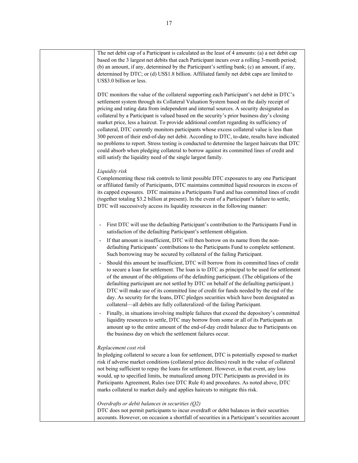| The net debit cap of a Participant is calculated as the least of 4 amounts: (a) a net debit cap<br>based on the 3 largest net debits that each Participant incurs over a rolling 3-month period;<br>(b) an amount, if any, determined by the Participant's settling bank; (c) an amount, if any,<br>determined by DTC; or (d) US\$1.8 billion. Affiliated family net debit caps are limited to<br>US\$3.0 billion or less.                                                                                                                                                                                                                                                                                                                                                                                                                                                                                                              |
|-----------------------------------------------------------------------------------------------------------------------------------------------------------------------------------------------------------------------------------------------------------------------------------------------------------------------------------------------------------------------------------------------------------------------------------------------------------------------------------------------------------------------------------------------------------------------------------------------------------------------------------------------------------------------------------------------------------------------------------------------------------------------------------------------------------------------------------------------------------------------------------------------------------------------------------------|
| DTC monitors the value of the collateral supporting each Participant's net debit in DTC's<br>settlement system through its Collateral Valuation System based on the daily receipt of<br>pricing and rating data from independent and internal sources. A security designated as<br>collateral by a Participant is valued based on the security's prior business day's closing<br>market price, less a haircut. To provide additional comfort regarding its sufficiency of<br>collateral, DTC currently monitors participants whose excess collateral value is less than<br>300 percent of their end-of-day net debit. According to DTC, to-date, results have indicated<br>no problems to report. Stress testing is conducted to determine the largest haircuts that DTC<br>could absorb when pledging collateral to borrow against its committed lines of credit and<br>still satisfy the liquidity need of the single largest family. |
| Liquidity risk<br>Complementing these risk controls to limit possible DTC exposures to any one Participant<br>or affiliated family of Participants, DTC maintains committed liquid resources in excess of<br>its capped exposures. DTC maintains a Participants Fund and has committed lines of credit<br>(together totaling \$3.2 billion at present). In the event of a Participant's failure to settle,<br>DTC will successively access its liquidity resources in the following manner:                                                                                                                                                                                                                                                                                                                                                                                                                                             |
| First DTC will use the defaulting Participant's contribution to the Participants Fund in<br>$\qquad \qquad \blacksquare$<br>satisfaction of the defaulting Participant's settlement obligation.<br>If that amount is insufficient, DTC will then borrow on its name from the non-<br>defaulting Participants' contributions to the Participants Fund to complete settlement.                                                                                                                                                                                                                                                                                                                                                                                                                                                                                                                                                            |
| Such borrowing may be secured by collateral of the failing Participant.<br>Should this amount be insufficient, DTC will borrow from its committed lines of credit<br>to secure a loan for settlement. The loan is to DTC as principal to be used for settlement<br>of the amount of the obligations of the defaulting participant. (The obligations of the<br>defaulting participant are not settled by DTC on behalf of the defaulting participant.)<br>DTC will make use of its committed line of credit for funds needed by the end of the<br>day. As security for the loans, DTC pledges securities which have been designated as<br>collateral—all debits are fully collateralized-of the failing Participant.                                                                                                                                                                                                                     |
| Finally, in situations involving multiple failures that exceed the depository's committed<br>liquidity resources to settle, DTC may borrow from some or all of its Participants an<br>amount up to the entire amount of the end-of-day credit balance due to Participants on<br>the business day on which the settlement failures occur.                                                                                                                                                                                                                                                                                                                                                                                                                                                                                                                                                                                                |
| Replacement cost risk<br>In pledging collateral to secure a loan for settlement, DTC is potentially exposed to market<br>risk if adverse market conditions (collateral price declines) result in the value of collateral<br>not being sufficient to repay the loans for settlement. However, in that event, any loss<br>would, up to specified limits, be mutualized among DTC Participants as provided in its<br>Participants Agreement, Rules (see DTC Rule 4) and procedures. As noted above, DTC<br>marks collateral to market daily and applies haircuts to mitigate this risk.                                                                                                                                                                                                                                                                                                                                                    |
| Overdrafts or debit balances in securities $(Q2)$<br>DTC does not permit participants to incur overdraft or debit balances in their securities<br>accounts. However, on occasion a shortfall of securities in a Participant's securities account                                                                                                                                                                                                                                                                                                                                                                                                                                                                                                                                                                                                                                                                                        |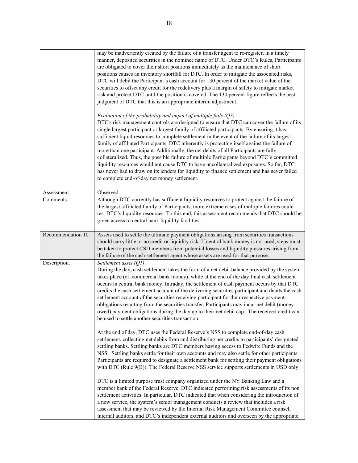|                    | may be inadvertently created by the failure of a transfer agent to re-register, in a timely<br>manner, deposited securities in the nominee name of DTC. Under DTC's Rules, Participants<br>are obligated to cover their short positions immediately as the maintenance of short<br>positions causes an inventory shortfall for DTC. In order to mitigate the associated risks,<br>DTC will debit the Participant's cash account for 130 percent of the market value of the<br>securities to offset any credit for the redelivery plus a margin of safety to mitigate market<br>risk and protect DTC until the position is covered. The 130 percent figure reflects the best<br>judgment of DTC that this is an appropriate interim adjustment.<br>Evaluation of the probability and impact of multiple fails $(Q3)$<br>DTC's risk management controls are designed to ensure that DTC can cover the failure of its |
|--------------------|--------------------------------------------------------------------------------------------------------------------------------------------------------------------------------------------------------------------------------------------------------------------------------------------------------------------------------------------------------------------------------------------------------------------------------------------------------------------------------------------------------------------------------------------------------------------------------------------------------------------------------------------------------------------------------------------------------------------------------------------------------------------------------------------------------------------------------------------------------------------------------------------------------------------|
|                    | single largest participant or largest family of affiliated participants. By ensuring it has<br>sufficient liquid resources to complete settlement in the event of the failure of its largest<br>family of affiliated Participants, DTC inherently is protecting itself against the failure of<br>more than one participant. Additionally, the net debits of all Participants are fully<br>collateralized. Thus, the possible failure of multiple Participants beyond DTC's committed<br>liquidity resources would not cause DTC to have uncollateralized exposures. So far, DTC<br>has never had to draw on its lenders for liquidity to finance settlement and has never failed<br>to complete end-of-day net money settlement.                                                                                                                                                                                   |
| Assessment         | Observed.                                                                                                                                                                                                                                                                                                                                                                                                                                                                                                                                                                                                                                                                                                                                                                                                                                                                                                          |
| Comments           | Although DTC currently has sufficient liquidity resources to protect against the failure of<br>the largest affiliated family of Participants, more extreme cases of multiple failures could<br>test DTC's liquidity resources. To this end, this assessment recommends that DTC should be<br>given access to central bank liquidity facilities.                                                                                                                                                                                                                                                                                                                                                                                                                                                                                                                                                                    |
| Recommendation 10. | Assets used to settle the ultimate payment obligations arising from securities transactions<br>should carry little or no credit or liquidity risk. If central bank money is not used, steps must<br>be taken to protect CSD members from potential losses and liquidity pressures arising from<br>the failure of the cash settlement agent whose assets are used for that purpose.                                                                                                                                                                                                                                                                                                                                                                                                                                                                                                                                 |
| Description.       | Settlement asset (Q1)<br>During the day, cash settlement takes the form of a net debit balance provided by the system<br>takes place (cf. commercial bank money), while at the end of the day final cash settlement<br>occurs in central bank money. Intraday, the settlement of cash payment occurs by that DTC<br>credits the cash settlement account of the delivering securities participant and debits the cash<br>settlement account of the securities receiving participant for their respective payment<br>obligations resulting from the securities transfer. Participants may incur net debit (money<br>owed) payment obligations during the day up to their net debit cap. The received credit can<br>be used to settle another securities transaction.                                                                                                                                                 |
|                    | At the end of day, DTC uses the Federal Reserve's NSS to complete end-of-day cash<br>settlement, collecting net debits from and distributing net credits to participants' designated<br>settling banks. Settling banks are DTC members having access to Fedwire Funds and the<br>NSS. Settling banks settle for their own accounts and may also settle for other participants.<br>Participants are required to designate a settlement bank for settling their payment obligations<br>with DTC (Rule 9(B)). The Federal Reserve NSS service supports settlements in USD only.                                                                                                                                                                                                                                                                                                                                       |
|                    | DTC is a limited purpose trust company organized under the NY Banking Law and a<br>member bank of the Federal Reserve. DTC indicated performing risk assessments of its non<br>settlement activities. In particular, DTC indicated that when considering the introduction of<br>a new service, the system's senior management conducts a review that includes a risk<br>assessment that may be reviewed by the Internal Risk Management Committee counsel,<br>internal auditors, and DTC's independent external auditors and overseen by the appropriate                                                                                                                                                                                                                                                                                                                                                           |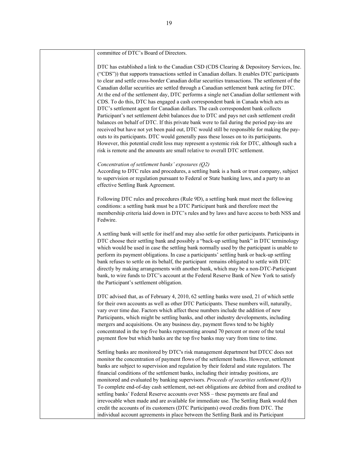| committee of DTC's Board of Directors.                                                                                                                                                                                                                                                                                                                                                                                                                                                                                                                                                                                                                                                                                                                                                                                                                                                                                                                                                                                                                                                                                                                                                                                                 |
|----------------------------------------------------------------------------------------------------------------------------------------------------------------------------------------------------------------------------------------------------------------------------------------------------------------------------------------------------------------------------------------------------------------------------------------------------------------------------------------------------------------------------------------------------------------------------------------------------------------------------------------------------------------------------------------------------------------------------------------------------------------------------------------------------------------------------------------------------------------------------------------------------------------------------------------------------------------------------------------------------------------------------------------------------------------------------------------------------------------------------------------------------------------------------------------------------------------------------------------|
| DTC has established a link to the Canadian CSD (CDS Clearing & Depository Services, Inc.<br>("CDS")) that supports transactions settled in Canadian dollars. It enables DTC participants<br>to clear and settle cross-border Canadian dollar securities transactions. The settlement of the<br>Canadian dollar securities are settled through a Canadian settlement bank acting for DTC.<br>At the end of the settlement day, DTC performs a single net Canadian dollar settlement with<br>CDS. To do this, DTC has engaged a cash correspondent bank in Canada which acts as<br>DTC's settlement agent for Canadian dollars. The cash correspondent bank collects<br>Participant's net settlement debit balances due to DTC and pays net cash settlement credit<br>balances on behalf of DTC. If this private bank were to fail during the period pay-ins are<br>received but have not yet been paid out, DTC would still be responsible for making the pay-<br>outs to its participants. DTC would generally pass these losses on to its participants.<br>However, this potential credit loss may represent a systemic risk for DTC, although such a<br>risk is remote and the amounts are small relative to overall DTC settlement. |
| Concentration of settlement banks' exposures $(Q2)$<br>According to DTC rules and procedures, a settling bank is a bank or trust company, subject<br>to supervision or regulation pursuant to Federal or State banking laws, and a party to an<br>effective Settling Bank Agreement.                                                                                                                                                                                                                                                                                                                                                                                                                                                                                                                                                                                                                                                                                                                                                                                                                                                                                                                                                   |
| Following DTC rules and procedures (Rule 9D), a settling bank must meet the following<br>conditions: a settling bank must be a DTC Participant bank and therefore meet the<br>membership criteria laid down in DTC's rules and by laws and have access to both NSS and<br>Fedwire.                                                                                                                                                                                                                                                                                                                                                                                                                                                                                                                                                                                                                                                                                                                                                                                                                                                                                                                                                     |
| A settling bank will settle for itself and may also settle for other participants. Participants in<br>DTC choose their settling bank and possibly a "back-up settling bank" in DTC terminology<br>which would be used in case the settling bank normally used by the participant is unable to<br>perform its payment obligations. In case a participants' settling bank or back-up settling<br>bank refuses to settle on its behalf, the participant remains obligated to settle with DTC<br>directly by making arrangements with another bank, which may be a non-DTC-Participant<br>bank, to wire funds to DTC's account at the Federal Reserve Bank of New York to satisfy<br>the Participant's settlement obligation.                                                                                                                                                                                                                                                                                                                                                                                                                                                                                                              |
| DTC advised that, as of February 4, 2010, 62 settling banks were used, 21 of which settle<br>for their own accounts as well as other DTC Participants. These numbers will, naturally,<br>vary over time due. Factors which affect these numbers include the addition of new<br>Participants, which might be settling banks, and other industry developments, including<br>mergers and acquisitions. On any business day, payment flows tend to be highly<br>concentrated in the top five banks representing around 70 percent or more of the total<br>payment flow but which banks are the top five banks may vary from time to time.                                                                                                                                                                                                                                                                                                                                                                                                                                                                                                                                                                                                  |
| Settling banks are monitored by DTC's risk management department but DTCC does not<br>monitor the concentration of payment flows of the settlement banks. However, settlement<br>banks are subject to supervision and regulation by their federal and state regulators. The<br>financial conditions of the settlement banks, including their intraday positions, are<br>monitored and evaluated by banking supervisors. Proceeds of securities settlement (Q3)<br>To complete end-of-day cash settlement, net-net obligations are debited from and credited to<br>settling banks' Federal Reserve accounts over NSS - these payments are final and<br>irrevocable when made and are available for immediate use. The Settling Bank would then<br>credit the accounts of its customers (DTC Participants) owed credits from DTC. The<br>individual account agreements in place between the Settling Bank and its Participant                                                                                                                                                                                                                                                                                                            |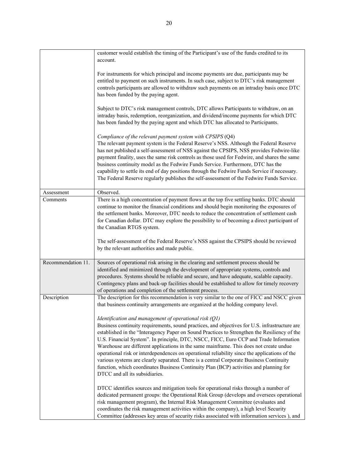|                    | customer would establish the timing of the Participant's use of the funds credited to its<br>account.                                                                                                                                                                                                                                                                                                                                                                                                                                                                                                                                                                                                                                                                |
|--------------------|----------------------------------------------------------------------------------------------------------------------------------------------------------------------------------------------------------------------------------------------------------------------------------------------------------------------------------------------------------------------------------------------------------------------------------------------------------------------------------------------------------------------------------------------------------------------------------------------------------------------------------------------------------------------------------------------------------------------------------------------------------------------|
|                    | For instruments for which principal and income payments are due, participants may be<br>entitled to payment on such instruments. In such case, subject to DTC's risk management<br>controls participants are allowed to withdraw such payments on an intraday basis once DTC<br>has been funded by the paying agent.                                                                                                                                                                                                                                                                                                                                                                                                                                                 |
|                    | Subject to DTC's risk management controls, DTC allows Participants to withdraw, on an<br>intraday basis, redemption, reorganization, and dividend/income payments for which DTC<br>has been funded by the paying agent and which DTC has allocated to Participants.                                                                                                                                                                                                                                                                                                                                                                                                                                                                                                  |
|                    | Compliance of the relevant payment system with CPSIPS (Q4)<br>The relevant payment system is the Federal Reserve's NSS. Although the Federal Reserve<br>has not published a self-assessment of NSS against the CPSIPS, NSS provides Fedwire-like<br>payment finality, uses the same risk controls as those used for Fedwire, and shares the same<br>business continuity model as the Fedwire Funds Service. Furthermore, DTC has the<br>capability to settle its end of day positions through the Fedwire Funds Service if necessary.<br>The Federal Reserve regularly publishes the self-assessment of the Fedwire Funds Service.                                                                                                                                   |
| Assessment         | Observed.                                                                                                                                                                                                                                                                                                                                                                                                                                                                                                                                                                                                                                                                                                                                                            |
| Comments           | There is a high concentration of payment flows at the top five settling banks. DTC should<br>continue to monitor the financial conditions and should begin monitoring the exposures of<br>the settlement banks. Moreover, DTC needs to reduce the concentration of settlement cash<br>for Canadian dollar. DTC may explore the possibility to of becoming a direct participant of<br>the Canadian RTGS system.                                                                                                                                                                                                                                                                                                                                                       |
|                    | The self-assessment of the Federal Reserve's NSS against the CPSIPS should be reviewed<br>by the relevant authorities and made public.                                                                                                                                                                                                                                                                                                                                                                                                                                                                                                                                                                                                                               |
| Recommendation 11. | Sources of operational risk arising in the clearing and settlement process should be<br>identified and minimized through the development of appropriate systems, controls and<br>procedures. Systems should be reliable and secure, and have adequate, scalable capacity.<br>Contingency plans and back-up facilities should be established to allow for timely recovery<br>of operations and completion of the settlement process.                                                                                                                                                                                                                                                                                                                                  |
| Description        | The description for this recommendation is very similar to the one of FICC and NSCC given<br>that business continuity arrangements are organized at the holding company level.                                                                                                                                                                                                                                                                                                                                                                                                                                                                                                                                                                                       |
|                    | Identification and management of operational risk $(Q1)$<br>Business continuity requirements, sound practices, and objectives for U.S. infrastructure are<br>established in the "Interagency Paper on Sound Practices to Strengthen the Resiliency of the<br>U.S. Financial System". In principle, DTC, NSCC, FICC, Euro CCP and Trade Information<br>Warehouse are different applications in the same mainframe. This does not create undue<br>operational risk or interdependences on operational reliability since the applications of the<br>various systems are clearly separated. There is a central Corporate Business Continuity<br>function, which coordinates Business Continuity Plan (BCP) activities and planning for<br>DTCC and all its subsidiaries. |
|                    | DTCC identifies sources and mitigation tools for operational risks through a number of<br>dedicated permanent groups: the Operational Risk Group (develops and oversees operational<br>risk management program), the Internal Risk Management Committee (evaluates and<br>coordinates the risk management activities within the company), a high level Security<br>Committee (addresses key areas of security risks associated with information services), and                                                                                                                                                                                                                                                                                                       |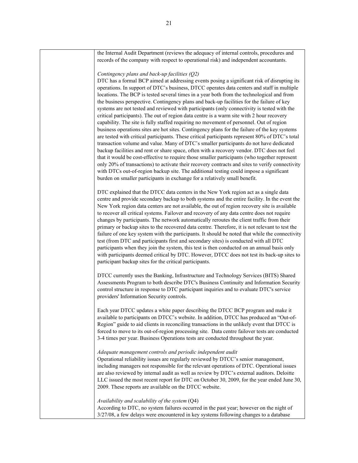| the Internal Audit Department (reviews the adequacy of internal controls, procedures and<br>records of the company with respect to operational risk) and independent accountants.                                                                                                                                                                                                                                                                                                                                                                                                                                                                                                                                                                                                                                                                                                                                                                                                                                                                                                                                                                                                                                                                                                                                                                                                                                                                                                                   |
|-----------------------------------------------------------------------------------------------------------------------------------------------------------------------------------------------------------------------------------------------------------------------------------------------------------------------------------------------------------------------------------------------------------------------------------------------------------------------------------------------------------------------------------------------------------------------------------------------------------------------------------------------------------------------------------------------------------------------------------------------------------------------------------------------------------------------------------------------------------------------------------------------------------------------------------------------------------------------------------------------------------------------------------------------------------------------------------------------------------------------------------------------------------------------------------------------------------------------------------------------------------------------------------------------------------------------------------------------------------------------------------------------------------------------------------------------------------------------------------------------------|
| Contingency plans and back-up facilities (Q2)<br>DTC has a formal BCP aimed at addressing events posing a significant risk of disrupting its<br>operations. In support of DTC's business, DTCC operates data centers and staff in multiple<br>locations. The BCP is tested several times in a year both from the technological and from<br>the business perspective. Contingency plans and back-up facilities for the failure of key<br>systems are not tested and reviewed with participants (only connectivity is tested with the<br>critical participants). The out of region data centre is a warm site with 2 hour recovery<br>capability. The site is fully staffed requiring no movement of personnel. Out of region<br>business operations sites are hot sites. Contingency plans for the failure of the key systems<br>are tested with critical participants. These critical participants represent 80% of DTC's total<br>transaction volume and value. Many of DTC's smaller participants do not have dedicated<br>backup facilities and rent or share space, often with a recovery vendor. DTC does not feel<br>that it would be cost-effective to require those smaller participants (who together represent<br>only 20% of transactions) to activate their recovery contracts and sites to verify connectivity<br>with DTCs out-of-region backup site. The additional testing could impose a significant<br>burden on smaller participants in exchange for a relatively small benefit. |
| DTC explained that the DTCC data centers in the New York region act as a single data<br>centre and provide secondary backup to both systems and the entire facility. In the event the<br>New York region data centers are not available, the out of region recovery site is available<br>to recover all critical systems. Failover and recovery of any data centre does not require<br>changes by participants. The network automatically reroutes the client traffic from their<br>primary or backup sites to the recovered data centre. Therefore, it is not relevant to test the<br>failure of one key system with the participants. It should be noted that while the connectivity<br>test (from DTC and participants first and secondary sites) is conducted with all DTC<br>participants when they join the system, this test is then conducted on an annual basis only<br>with participants deemed critical by DTC. However, DTCC does not test its back-up sites to<br>participant backup sites for the critical participants.                                                                                                                                                                                                                                                                                                                                                                                                                                                              |
| DTCC currently uses the Banking, Infrastructure and Technology Services (BITS) Shared<br>Assessments Program to both describe DTC's Business Continuity and Information Security<br>control structure in response to DTC participant inquiries and to evaluate DTC's service<br>providers' Information Security controls.                                                                                                                                                                                                                                                                                                                                                                                                                                                                                                                                                                                                                                                                                                                                                                                                                                                                                                                                                                                                                                                                                                                                                                           |
| Each year DTCC updates a white paper describing the DTCC BCP program and make it<br>available to participants on DTCC's website. In addition, DTCC has produced an "Out-of-<br>Region" guide to aid clients in reconciling transactions in the unlikely event that DTCC is<br>forced to move to its out-of-region processing site. Data centre failover tests are conducted<br>3-4 times per year. Business Operations tests are conducted throughout the year.                                                                                                                                                                                                                                                                                                                                                                                                                                                                                                                                                                                                                                                                                                                                                                                                                                                                                                                                                                                                                                     |
| Adequate management controls and periodic independent audit<br>Operational reliability issues are regularly reviewed by DTCC's senior management,<br>including managers not responsible for the relevant operations of DTC. Operational issues<br>are also reviewed by internal audit as well as review by DTC's external auditors. Deloitte<br>LLC issued the most recent report for DTC on October 30, 2009, for the year ended June 30,<br>2009. These reports are available on the DTCC website.                                                                                                                                                                                                                                                                                                                                                                                                                                                                                                                                                                                                                                                                                                                                                                                                                                                                                                                                                                                                |
| Availability and scalability of the system (Q4)<br>According to DTC, no system failures occurred in the past year; however on the night of<br>3/27/08, a few delays were encountered in key systems following changes to a database                                                                                                                                                                                                                                                                                                                                                                                                                                                                                                                                                                                                                                                                                                                                                                                                                                                                                                                                                                                                                                                                                                                                                                                                                                                                 |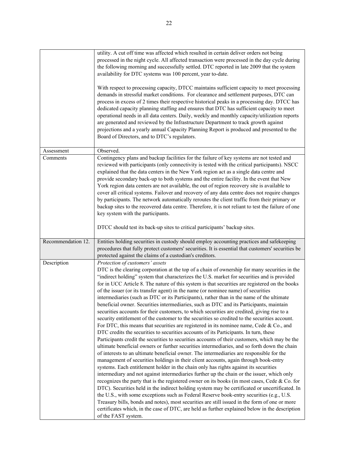|                    | utility. A cut off time was affected which resulted in certain deliver orders not being<br>processed in the night cycle. All affected transaction were processed in the day cycle during<br>the following morning and successfully settled. DTC reported in late 2009 that the system<br>availability for DTC systems was 100 percent, year to-date.<br>With respect to processing capacity, DTCC maintains sufficient capacity to meet processing<br>demands in stressful market conditions. For clearance and settlement purposes, DTC can<br>process in excess of 2 times their respective historical peaks in a processing day. DTCC has<br>dedicated capacity planning staffing and ensures that DTC has sufficient capacity to meet<br>operational needs in all data centers. Daily, weekly and monthly capacity/utilization reports<br>are generated and reviewed by the Infrastructure Department to track growth against<br>projections and a yearly annual Capacity Planning Report is produced and presented to the<br>Board of Directors, and to DTC's regulators.                                                                                                                                                                                                                                                                                                                                                                                                                                                                                                                                                                                                                                                                                                                                                                                                                                                                                                                                                                                                                          |
|--------------------|---------------------------------------------------------------------------------------------------------------------------------------------------------------------------------------------------------------------------------------------------------------------------------------------------------------------------------------------------------------------------------------------------------------------------------------------------------------------------------------------------------------------------------------------------------------------------------------------------------------------------------------------------------------------------------------------------------------------------------------------------------------------------------------------------------------------------------------------------------------------------------------------------------------------------------------------------------------------------------------------------------------------------------------------------------------------------------------------------------------------------------------------------------------------------------------------------------------------------------------------------------------------------------------------------------------------------------------------------------------------------------------------------------------------------------------------------------------------------------------------------------------------------------------------------------------------------------------------------------------------------------------------------------------------------------------------------------------------------------------------------------------------------------------------------------------------------------------------------------------------------------------------------------------------------------------------------------------------------------------------------------------------------------------------------------------------------------------------------------|
| Assessment         | Observed.                                                                                                                                                                                                                                                                                                                                                                                                                                                                                                                                                                                                                                                                                                                                                                                                                                                                                                                                                                                                                                                                                                                                                                                                                                                                                                                                                                                                                                                                                                                                                                                                                                                                                                                                                                                                                                                                                                                                                                                                                                                                                               |
| Comments           | Contingency plans and backup facilities for the failure of key systems are not tested and<br>reviewed with participants (only connectivity is tested with the critical participants). NSCC<br>explained that the data centers in the New York region act as a single data centre and<br>provide secondary back-up to both systems and the entire facility. In the event that New<br>York region data centers are not available, the out of region recovery site is available to<br>cover all critical systems. Failover and recovery of any data centre does not require changes<br>by participants. The network automatically reroutes the client traffic from their primary or<br>backup sites to the recovered data centre. Therefore, it is not reliant to test the failure of one<br>key system with the participants.                                                                                                                                                                                                                                                                                                                                                                                                                                                                                                                                                                                                                                                                                                                                                                                                                                                                                                                                                                                                                                                                                                                                                                                                                                                                             |
|                    | DTCC should test its back-up sites to critical participants' backup sites.                                                                                                                                                                                                                                                                                                                                                                                                                                                                                                                                                                                                                                                                                                                                                                                                                                                                                                                                                                                                                                                                                                                                                                                                                                                                                                                                                                                                                                                                                                                                                                                                                                                                                                                                                                                                                                                                                                                                                                                                                              |
| Recommendation 12. | Entities holding securities in custody should employ accounting practices and safekeeping<br>procedures that fully protect customers' securities. It is essential that customers' securities be<br>protected against the claims of a custodian's creditors.                                                                                                                                                                                                                                                                                                                                                                                                                                                                                                                                                                                                                                                                                                                                                                                                                                                                                                                                                                                                                                                                                                                                                                                                                                                                                                                                                                                                                                                                                                                                                                                                                                                                                                                                                                                                                                             |
| Description        | Protection of customers' assets<br>DTC is the clearing corporation at the top of a chain of ownership for many securities in the<br>"indirect holding" system that characterizes the U.S. market for securities and is provided<br>for in UCC Article 8. The nature of this system is that securities are registered on the books<br>of the issuer (or its transfer agent) in the name (or nominee name) of securities<br>intermediaries (such as DTC or its Participants), rather than in the name of the ultimate<br>beneficial owner. Securities intermediaries, such as DTC and its Participants, maintain<br>securities accounts for their customers, to which securities are credited, giving rise to a<br>security entitlement of the customer to the securities so credited to the securities account.<br>For DTC, this means that securities are registered in its nominee name, Cede & Co., and<br>DTC credits the securities to securities accounts of its Participants. In turn, these<br>Participants credit the securities to securities accounts of their customers, which may be the<br>ultimate beneficial owners or further securities intermediaries, and so forth down the chain<br>of interests to an ultimate beneficial owner. The intermediaries are responsible for the<br>management of securities holdings in their client accounts, again through book-entry<br>systems. Each entitlement holder in the chain only has rights against its securities<br>intermediary and not against intermediaries further up the chain or the issuer, which only<br>recognizes the party that is the registered owner on its books (in most cases, Cede & Co. for<br>DTC). Securities held in the indirect holding system may be certificated or uncertificated. In<br>the U.S., with some exceptions such as Federal Reserve book-entry securities (e.g., U.S.<br>Treasury bills, bonds and notes), most securities are still issued in the form of one or more<br>certificates which, in the case of DTC, are held as further explained below in the description<br>of the FAST system. |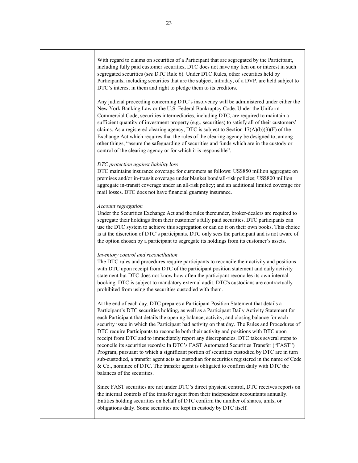With regard to claims on securities of a Participant that are segregated by the Participant, including fully paid customer securities, DTC does not have any lien on or interest in such segregated securities (s*ee* DTC Rule 6). Under DTC Rules, other securities held by Participants, including securities that are the subject, intraday, of a DVP, are held subject to DTC's interest in them and right to pledge them to its creditors.

Any judicial proceeding concerning DTC's insolvency will be administered under either the New York Banking Law or the U.S. Federal Bankruptcy Code. Under the Uniform Commercial Code, securities intermediaries, including DTC, are required to maintain a sufficient quantity of investment property (e.g., securities) to satisfy all of their customers' claims. As a registered clearing agency, DTC is subject to Section  $17(A)(b)(3)(F)$  of the Exchange Act which requires that the rules of the clearing agency be designed to, among other things, "assure the safeguarding of securities and funds which are in the custody or control of the clearing agency or for which it is responsible".

#### *DTC protection against liability loss*

DTC maintains insurance coverage for customers as follows: US\$850 million aggregate on premises and/or in-transit coverage under blanket bond/all-risk policies; US\$800 million aggregate in-transit coverage under an all-risk policy; and an additional limited coverage for mail losses. DTC does not have financial guaranty insurance.

#### *Account segregation*

Under the Securities Exchange Act and the rules thereunder, broker-dealers are required to segregate their holdings from their customer's fully paid securities. DTC participants can use the DTC system to achieve this segregation or can do it on their own books. This choice is at the discretion of DTC's participants. DTC only sees the participant and is not aware of the option chosen by a participant to segregate its holdings from its customer's assets.

#### *Inventory control and reconciliation*

The DTC rules and procedures require participants to reconcile their activity and positions with DTC upon receipt from DTC of the participant position statement and daily activity statement but DTC does not know how often the participant reconciles its own internal booking. DTC is subject to mandatory external audit. DTC's custodians are contractually prohibited from using the securities custodied with them.

At the end of each day, DTC prepares a Participant Position Statement that details a Participant's DTC securities holding, as well as a Participant Daily Activity Statement for each Participant that details the opening balance, activity, and closing balance for each security issue in which the Participant had activity on that day. The Rules and Procedures of DTC require Participants to reconcile both their activity and positions with DTC upon receipt from DTC and to immediately report any discrepancies. DTC takes several steps to reconcile its securities records: In DTC's FAST Automated Securities Transfer ("FAST") Program, pursuant to which a significant portion of securities custodied by DTC are in turn sub-custodied, a transfer agent acts as custodian for securities registered in the name of Cede & Co., nominee of DTC. The transfer agent is obligated to confirm daily with DTC the balances of the securities.

Since FAST securities are not under DTC's direct physical control, DTC receives reports on the internal controls of the transfer agent from their independent accountants annually. Entities holding securities on behalf of DTC confirm the number of shares, units, or obligations daily. Some securities are kept in custody by DTC itself.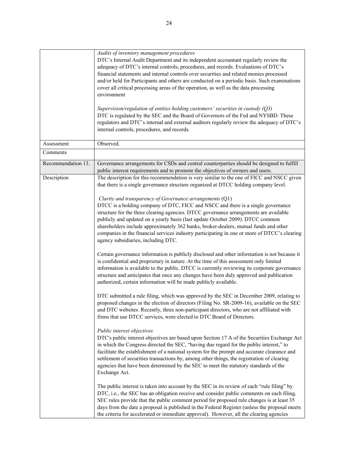|                    | Audits of inventory management procedures<br>DTC's Internal Audit Department and its independent accountant regularly review the<br>adequacy of DTC's internal controls, procedures, and records. Evaluations of DTC's<br>financial statements and internal controls over securities and related monies processed<br>and/or held for Participants and others are conducted on a periodic basis. Such examinations<br>cover all critical processing areas of the operation, as well as the data processing<br>environment<br>Supervision/regulation of entities holding customers' securities in custody $(Q3)$<br>DTC is regulated by the SEC and the Board of Governors of the Fed and NYSBD. These |
|--------------------|------------------------------------------------------------------------------------------------------------------------------------------------------------------------------------------------------------------------------------------------------------------------------------------------------------------------------------------------------------------------------------------------------------------------------------------------------------------------------------------------------------------------------------------------------------------------------------------------------------------------------------------------------------------------------------------------------|
|                    | regulators and DTC's internal and external auditors regularly review the adequacy of DTC's<br>internal controls, procedures, and records.                                                                                                                                                                                                                                                                                                                                                                                                                                                                                                                                                            |
| Assessment         | Observed.                                                                                                                                                                                                                                                                                                                                                                                                                                                                                                                                                                                                                                                                                            |
| Comments           |                                                                                                                                                                                                                                                                                                                                                                                                                                                                                                                                                                                                                                                                                                      |
| Recommendation 13. | Governance arrangements for CSDs and central counterparties should be designed to fulfill<br>public interest requirements and to promote the objectives of owners and users.                                                                                                                                                                                                                                                                                                                                                                                                                                                                                                                         |
| Description        | The description for this recommendation is very similar to the one of FICC and NSCC given<br>that there is a single governance structure organized at DTCC holding company level.                                                                                                                                                                                                                                                                                                                                                                                                                                                                                                                    |
|                    | Clarity and transparency of Governance arrangements (Q1)<br>DTCC is a holding company of DTC, FICC and NSCC and there is a single governance<br>structure for the three clearing agencies. DTCC governance arrangements are available<br>publicly and updated on a yearly basis (last update October 2009). DTCC common<br>shareholders include approximately 362 banks, broker-dealers, mutual funds and other<br>companies in the financial services industry participating in one or more of DTCC's clearing<br>agency subsidiaries, including DTC.                                                                                                                                               |
|                    | Certain governance information is publicly disclosed and other information is not because it<br>is confidential and proprietary in nature. At the time of this assessment only limited<br>information is available to the public. DTCC is currently reviewing its corporate governance<br>structure and anticipates that once any changes have been duly approved and publication<br>authorized, certain information will be made publicly available.                                                                                                                                                                                                                                                |
|                    | DTC submitted a rule filing, which was approved by the SEC in December 2009, relating to<br>proposed changes in the election of directors (Filing No. SR-2009-16), available on the SEC<br>and DTC websites. Recently, three non-participant directors, who are not affiliated with<br>firms that use DTCC services, were elected to DTC Board of Directors.                                                                                                                                                                                                                                                                                                                                         |
|                    | Public interest objectives<br>DTC's public interest objectives are based upon Section 17 A of the Securities Exchange Act<br>in which the Congress directed the SEC, "having due regard for the public interest," to<br>facilitate the establishment of a national system for the prompt and accurate clearance and<br>settlement of securities transactions by, among other things, the registration of clearing<br>agencies that have been determined by the SEC to meet the statutory standards of the<br>Exchange Act.                                                                                                                                                                           |
|                    | The public interest is taken into account by the SEC in its review of each "rule filing" by<br>DTC, i.e., the SEC has an obligation receive and consider public comments on each filing.<br>SEC rules provide that the public comment period for proposed rule changes is at least 35<br>days from the date a proposal is published in the Federal Register (unless the proposal meets<br>the criteria for accelerated or immediate approval). However, all the clearing agencies                                                                                                                                                                                                                    |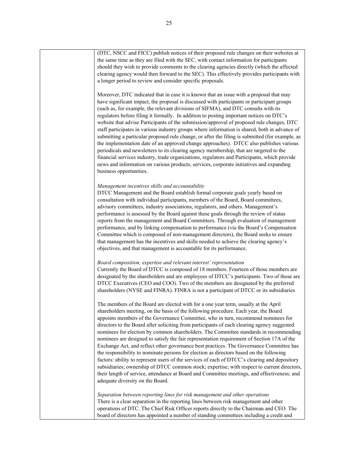(DTC, NSCC and FICC) publish notices of their proposed rule changes on their websites at the same time as they are filed with the SEC, with contact information for participants should they wish to provide comments to the clearing agencies directly (which the affected clearing agency would then forward to the SEC). This effectively provides participants with a longer period to review and consider specific proposals. Moreover, DTC indicated that in case it is known that an issue with a proposal that may have significant impact, the proposal is discussed with participants or participant groups (such as, for example, the relevant divisions of SIFMA), and DTC consults with its regulators before filing it formally. In addition to posting important notices on DTC's website that advise Participants of the submission/approval of proposed rule changes, DTC staff participates in various industry groups where information is shared, both in advance of submitting a particular proposed rule change, or after the filing is submitted (for example, as the implementation date of an approved change approaches). DTCC also publishes various periodicals and newsletters to its clearing agency membership, that are targeted to the financial services industry, trade organizations, regulators and Participants, which provide news and information on various products, services, corporate initiatives and expanding business opportunities. *Management incentives skills and accountability*  DTCC Management and the Board establish formal corporate goals yearly based on consultation with individual participants, members of the Board, Board committees, advisory committees, industry associations, regulators, and others. Management's performance is assessed by the Board against these goals through the review of status reports from the management and Board Committees. Through evaluation of management performance, and by linking compensation to performance (via the Board's Compensation Committee which is composed of non-management directors), the Board seeks to ensure that management has the incentives and skills needed to achieve the clearing agency's objectives, and that management is accountable for its performance. *Board composition, expertise and relevant interest' representation*  Currently the Board of DTCC is composed of 18 members. Fourteen of those members are designated by the shareholders and are employees of DTCC's participants. Two of those are DTCC Executives (CEO and COO). Two of the members are designated by the preferred shareholders (NYSE and FINRA). FINRA is not a participant of DTCC or its subsidiaries The members of the Board are elected with for a one year term, usually at the April shareholders meeting, on the basis of the following procedure. Each year, the Board appoints members of the Governance Committee, who in turn, recommend nominees for directors to the Board after soliciting from participants of each clearing agency suggested nominees for election by common shareholders. The Committee standards in recommending nominees are designed to satisfy the fair representation requirement of Section 17A of the Exchange Act, and reflect other governance best practices. The Governance Committee has the responsibility to nominate persons for election as directors based on the following factors: ability to represent users of the services of each of DTCC's clearing and depository subsidiaries; ownership of DTCC common stock; expertise; with respect to current directors, their length of service, attendance at Board and Committee meetings, and effectiveness; and adequate diversity on the Board. *Separation between reporting lines for risk management and other operations*  There is a clear separation in the reporting lines between risk management and other operations of DTC. The Chief Risk Officer reports directly to the Chairman and CEO. The board of directors has appointed a number of standing committees including a credit and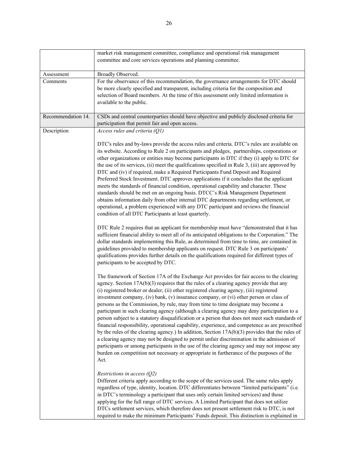|                    | market risk management committee, compliance and operational risk management<br>committee and core services operations and planning committee.                                                                                                                                                                                                                                                                                                                                                                                                                                                                                                                                                                                                                                                                                                                                                                                                                                                                                                                                                                                                                            |
|--------------------|---------------------------------------------------------------------------------------------------------------------------------------------------------------------------------------------------------------------------------------------------------------------------------------------------------------------------------------------------------------------------------------------------------------------------------------------------------------------------------------------------------------------------------------------------------------------------------------------------------------------------------------------------------------------------------------------------------------------------------------------------------------------------------------------------------------------------------------------------------------------------------------------------------------------------------------------------------------------------------------------------------------------------------------------------------------------------------------------------------------------------------------------------------------------------|
| Assessment         | Broadly Observed.                                                                                                                                                                                                                                                                                                                                                                                                                                                                                                                                                                                                                                                                                                                                                                                                                                                                                                                                                                                                                                                                                                                                                         |
| Comments           | For the observance of this recommendation, the governance arrangements for DTC should<br>be more clearly specified and transparent, including criteria for the composition and<br>selection of Board members. At the time of this assessment only limited information is<br>available to the public.                                                                                                                                                                                                                                                                                                                                                                                                                                                                                                                                                                                                                                                                                                                                                                                                                                                                      |
| Recommendation 14. | CSDs and central counterparties should have objective and publicly disclosed criteria for<br>participation that permit fair and open access.                                                                                                                                                                                                                                                                                                                                                                                                                                                                                                                                                                                                                                                                                                                                                                                                                                                                                                                                                                                                                              |
| Description        | Access rules and criteria (Q1)                                                                                                                                                                                                                                                                                                                                                                                                                                                                                                                                                                                                                                                                                                                                                                                                                                                                                                                                                                                                                                                                                                                                            |
|                    | DTC's rules and by-laws provide the access rules and criteria. DTC's rules are available on<br>its website. According to Rule 2 on participants and pledges, partnerships, corporations or<br>other organizations or entities may become participants in DTC if they (i) apply to DTC for<br>the use of its services, (ii) meet the qualifications specified in Rule $3$ , (iii) are approved by<br>DTC and (iv) if required, make a Required Participants Fund Deposit and Required<br>Preferred Stock Investment. DTC approves applications if it concludes that the applicant<br>meets the standards of financial condition, operational capability and character. These<br>standards should be met on an ongoing basis. DTCC's Risk Management Department<br>obtains information daily from other internal DTC departments regarding settlement, or<br>operational, a problem experienced with any DTC participant and reviews the financial<br>condition of all DTC Participants at least quarterly.                                                                                                                                                                 |
|                    | DTC Rule 2 requires that an applicant for membership must have "demonstrated that it has<br>sufficient financial ability to meet all of its anticipated obligations to the Corporation." The<br>dollar standards implementing this Rule, as determined from time to time, are contained in<br>guidelines provided to membership applicants on request. DTC Rule 3 on participants'<br>qualifications provides further details on the qualifications required for different types of<br>participants to be accepted by DTC.                                                                                                                                                                                                                                                                                                                                                                                                                                                                                                                                                                                                                                                |
|                    | The framework of Section 17A of the Exchange Act provides for fair access to the clearing<br>agency. Section $17A(b)(3)$ requires that the rules of a clearing agency provide that any<br>(i) registered broker or dealer, (ii) other registered clearing agency, (iii) registered<br>investment company, (iv) bank, (v) insurance company, or (vi) other person or class of<br>persons as the Commission, by rule, may from time to time designate may become a<br>participant in such clearing agency (although a clearing agency may deny participation to a<br>person subject to a statutory disqualification or a person that does not meet such standards of<br>financial responsibility, operational capability, experience, and competence as are prescribed<br>by the rules of the clearing agency.) In addition, Section $17A(b)(3)$ provides that the rules of<br>a clearing agency may not be designed to permit unfair discrimination in the admission of<br>participants or among participants in the use of the clearing agency and may not impose any<br>burden on competition not necessary or appropriate in furtherance of the purposes of the<br>Act. |
|                    | Restrictions in access $(Q2)$<br>Different criteria apply according to the scope of the services used. The same rules apply<br>regardless of type, identity, location. DTC differentiates between "limited participants" (i.e.<br>in DTC's terminology a participant that uses only certain limited services) and those<br>applying for the full range of DTC services. A Limited Participant that does not utilize<br>DTCs settlement services, which therefore does not present settlement risk to DTC, is not<br>required to make the minimum Participants' Funds deposit. This distinction is explained in                                                                                                                                                                                                                                                                                                                                                                                                                                                                                                                                                            |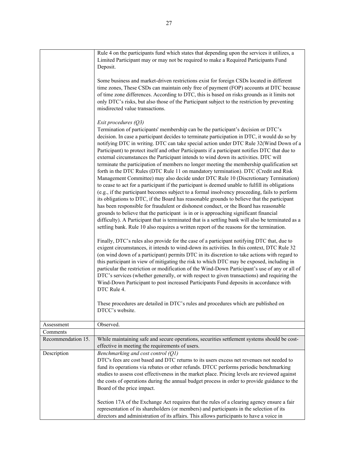|                    | Rule 4 on the participants fund which states that depending upon the services it utilizes, a<br>Limited Participant may or may not be required to make a Required Participants Fund<br>Deposit.                                                                                                                                                                                                                                                                                                                                                                                                                                                                                                                                                                                                                                                                                                                                                                                                                                                                                                                                                                                                                                                                                                                                                                                                                                                                                                                                                                                                                                                                                                                                                                                                                                                                 |
|--------------------|-----------------------------------------------------------------------------------------------------------------------------------------------------------------------------------------------------------------------------------------------------------------------------------------------------------------------------------------------------------------------------------------------------------------------------------------------------------------------------------------------------------------------------------------------------------------------------------------------------------------------------------------------------------------------------------------------------------------------------------------------------------------------------------------------------------------------------------------------------------------------------------------------------------------------------------------------------------------------------------------------------------------------------------------------------------------------------------------------------------------------------------------------------------------------------------------------------------------------------------------------------------------------------------------------------------------------------------------------------------------------------------------------------------------------------------------------------------------------------------------------------------------------------------------------------------------------------------------------------------------------------------------------------------------------------------------------------------------------------------------------------------------------------------------------------------------------------------------------------------------|
|                    | Some business and market-driven restrictions exist for foreign CSDs located in different<br>time zones, These CSDs can maintain only free of payment (FOP) accounts at DTC because<br>of time zone differences. According to DTC, this is based on risks grounds as it limits not<br>only DTC's risks, but also those of the Participant subject to the restriction by preventing<br>misdirected value transactions.                                                                                                                                                                                                                                                                                                                                                                                                                                                                                                                                                                                                                                                                                                                                                                                                                                                                                                                                                                                                                                                                                                                                                                                                                                                                                                                                                                                                                                            |
|                    | Exit procedures $(Q3)$<br>Termination of participants' membership can be the participant's decision or DTC's<br>decision. In case a participant decides to terminate participation in DTC, it would do so by<br>notifying DTC in writing. DTC can take special action under DTC Rule 32(Wind Down of a<br>Participant) to protect itself and other Participants if a participant notifies DTC that due to<br>external circumstances the Participant intends to wind down its activities. DTC will<br>terminate the participation of members no longer meeting the membership qualification set<br>forth in the DTC Rules (DTC Rule 11 on mandatory termination). DTC (Credit and Risk<br>Management Committee) may also decide under DTC Rule 10 (Discretionary Termination)<br>to cease to act for a participant if the participant is deemed unable to fulfill its obligations<br>(e.g., if the participant becomes subject to a formal insolvency proceeding, fails to perform<br>its obligations to DTC, if the Board has reasonable grounds to believe that the participant<br>has been responsible for fraudulent or dishonest conduct, or the Board has reasonable<br>grounds to believe that the participant is in or is approaching significant financial<br>difficulty). A Participant that is terminated that is a settling bank will also be terminated as a<br>settling bank. Rule 10 also requires a written report of the reasons for the termination.<br>Finally, DTC's rules also provide for the case of a participant notifying DTC that, due to<br>exigent circumstances, it intends to wind-down its activities. In this context, DTC Rule 32<br>(on wind down of a participant) permits DTC in its discretion to take actions with regard to<br>this participant in view of mitigating the risk to which DTC may be exposed, including in |
|                    | particular the restriction or modification of the Wind-Down Participant's use of any or all of<br>DTC's services (whether generally, or with respect to given transactions) and requiring the<br>Wind-Down Participant to post increased Participants Fund deposits in accordance with<br>DTC Rule 4.                                                                                                                                                                                                                                                                                                                                                                                                                                                                                                                                                                                                                                                                                                                                                                                                                                                                                                                                                                                                                                                                                                                                                                                                                                                                                                                                                                                                                                                                                                                                                           |
|                    | These procedures are detailed in DTC's rules and procedures which are published on<br>DTCC's website.                                                                                                                                                                                                                                                                                                                                                                                                                                                                                                                                                                                                                                                                                                                                                                                                                                                                                                                                                                                                                                                                                                                                                                                                                                                                                                                                                                                                                                                                                                                                                                                                                                                                                                                                                           |
| Assessment         | Observed.                                                                                                                                                                                                                                                                                                                                                                                                                                                                                                                                                                                                                                                                                                                                                                                                                                                                                                                                                                                                                                                                                                                                                                                                                                                                                                                                                                                                                                                                                                                                                                                                                                                                                                                                                                                                                                                       |
| Comments           |                                                                                                                                                                                                                                                                                                                                                                                                                                                                                                                                                                                                                                                                                                                                                                                                                                                                                                                                                                                                                                                                                                                                                                                                                                                                                                                                                                                                                                                                                                                                                                                                                                                                                                                                                                                                                                                                 |
| Recommendation 15. | While maintaining safe and secure operations, securities settlement systems should be cost-<br>effective in meeting the requirements of users.                                                                                                                                                                                                                                                                                                                                                                                                                                                                                                                                                                                                                                                                                                                                                                                                                                                                                                                                                                                                                                                                                                                                                                                                                                                                                                                                                                                                                                                                                                                                                                                                                                                                                                                  |
| Description        | Benchmarking and cost control (Q1)<br>DTC's fees are cost based and DTC returns to its users excess net revenues not needed to<br>fund its operations via rebates or other refunds. DTCC performs periodic benchmarking<br>studies to assess cost effectiveness in the market place. Pricing levels are reviewed against<br>the costs of operations during the annual budget process in order to provide guidance to the<br>Board of the price impact.                                                                                                                                                                                                                                                                                                                                                                                                                                                                                                                                                                                                                                                                                                                                                                                                                                                                                                                                                                                                                                                                                                                                                                                                                                                                                                                                                                                                          |
|                    | Section 17A of the Exchange Act requires that the rules of a clearing agency ensure a fair<br>representation of its shareholders (or members) and participants in the selection of its                                                                                                                                                                                                                                                                                                                                                                                                                                                                                                                                                                                                                                                                                                                                                                                                                                                                                                                                                                                                                                                                                                                                                                                                                                                                                                                                                                                                                                                                                                                                                                                                                                                                          |

directors and administration of its affairs. This allows participants to have a voice in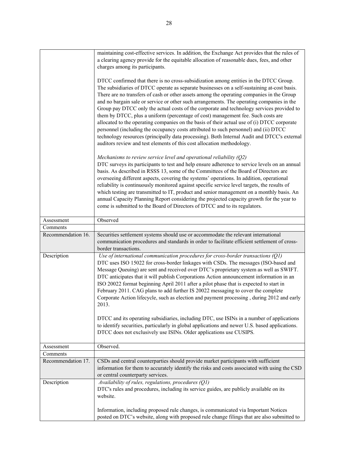|                    | maintaining cost-effective services. In addition, the Exchange Act provides that the rules of<br>a clearing agency provide for the equitable allocation of reasonable dues, fees, and other                                                                                                                                                                                                                                                                                                                                                                                                                                                                                                                                                                                                                                                                                                                                     |
|--------------------|---------------------------------------------------------------------------------------------------------------------------------------------------------------------------------------------------------------------------------------------------------------------------------------------------------------------------------------------------------------------------------------------------------------------------------------------------------------------------------------------------------------------------------------------------------------------------------------------------------------------------------------------------------------------------------------------------------------------------------------------------------------------------------------------------------------------------------------------------------------------------------------------------------------------------------|
|                    | charges among its participants.                                                                                                                                                                                                                                                                                                                                                                                                                                                                                                                                                                                                                                                                                                                                                                                                                                                                                                 |
|                    | DTCC confirmed that there is no cross-subsidization among entities in the DTCC Group.<br>The subsidiaries of DTCC operate as separate businesses on a self-sustaining at-cost basis.<br>There are no transfers of cash or other assets among the operating companies in the Group<br>and no bargain sale or service or other such arrangements. The operating companies in the<br>Group pay DTCC only the actual costs of the corporate and technology services provided to<br>them by DTCC, plus a uniform (percentage of cost) management fee. Such costs are<br>allocated to the operating companies on the basis of their actual use of (i) DTCC corporate<br>personnel (including the occupancy costs attributed to such personnel) and (ii) DTCC<br>technology resources (principally data processing). Both Internal Audit and DTCC's external<br>auditors review and test elements of this cost allocation methodology. |
|                    | Mechanisms to review service level and operational reliability $(Q2)$<br>DTC surveys its participants to test and help ensure adherence to service levels on an annual<br>basis. As described in RSSS 13, some of the Committees of the Board of Directors are<br>overseeing different aspects, covering the systems' operations. In addition, operational<br>reliability is continuously monitored against specific service level targets, the results of<br>which testing are transmitted to IT, product and senior management on a monthly basis. An<br>annual Capacity Planning Report considering the projected capacity growth for the year to<br>come is submitted to the Board of Directors of DTCC and to its regulators.                                                                                                                                                                                              |
| Assessment         | Observed                                                                                                                                                                                                                                                                                                                                                                                                                                                                                                                                                                                                                                                                                                                                                                                                                                                                                                                        |
| Comments           |                                                                                                                                                                                                                                                                                                                                                                                                                                                                                                                                                                                                                                                                                                                                                                                                                                                                                                                                 |
| Recommendation 16. | Securities settlement systems should use or accommodate the relevant international<br>communication procedures and standards in order to facilitate efficient settlement of cross-<br>border transactions.                                                                                                                                                                                                                                                                                                                                                                                                                                                                                                                                                                                                                                                                                                                      |
| Description        | Use of international communication procedures for cross-border transactions (Q1)<br>DTC uses ISO 15022 for cross-border linkages with CSDs. The messages (ISO-based and<br>Message Queuing) are sent and received over DTC's proprietary system as well as SWIFT.<br>DTC anticipates that it will publish Corporations Action announcement information in an<br>ISO 20022 format beginning April 2011 after a pilot phase that is expected to start in<br>February 2011. CAG plans to add further IS 20022 messaging to cover the complete<br>Corporate Action lifecycle, such as election and payment processing, during 2012 and early<br>2013.<br>DTCC and its operating subsidiaries, including DTC, use ISINs in a number of applications<br>to identify securities, particularly in global applications and newer U.S. based applications.<br>DTCC does not exclusively use ISINs. Older applications use CUSIPS.         |
| Assessment         | Observed.                                                                                                                                                                                                                                                                                                                                                                                                                                                                                                                                                                                                                                                                                                                                                                                                                                                                                                                       |
| Comments           |                                                                                                                                                                                                                                                                                                                                                                                                                                                                                                                                                                                                                                                                                                                                                                                                                                                                                                                                 |
| Recommendation 17. | CSDs and central counterparties should provide market participants with sufficient<br>information for them to accurately identify the risks and costs associated with using the CSD<br>or central counterparty services.                                                                                                                                                                                                                                                                                                                                                                                                                                                                                                                                                                                                                                                                                                        |
| Description        | Availability of rules, regulations, procedures (Q1)<br>DTC's rules and procedures, including its service guides, are publicly available on its<br>website.                                                                                                                                                                                                                                                                                                                                                                                                                                                                                                                                                                                                                                                                                                                                                                      |
|                    | Information, including proposed rule changes, is communicated via Important Notices<br>posted on DTC's website, along with proposed rule change filings that are also submitted to                                                                                                                                                                                                                                                                                                                                                                                                                                                                                                                                                                                                                                                                                                                                              |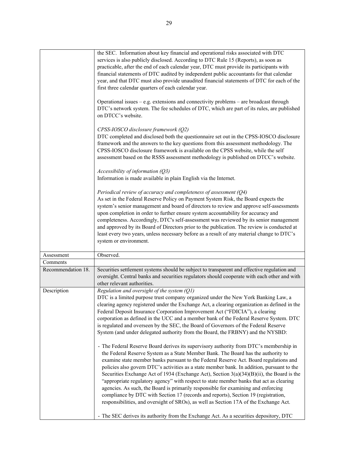|                    | the SEC. Information about key financial and operational risks associated with DTC<br>services is also publicly disclosed. According to DTC Rule 15 (Reports), as soon as<br>practicable, after the end of each calendar year, DTC must provide its participants with<br>financial statements of DTC audited by independent public accountants for that calendar<br>year, and that DTC must also provide unaudited financial statements of DTC for each of the<br>first three calendar quarters of each calendar year.                                                                                                                                                                                                                                                                                                         |
|--------------------|--------------------------------------------------------------------------------------------------------------------------------------------------------------------------------------------------------------------------------------------------------------------------------------------------------------------------------------------------------------------------------------------------------------------------------------------------------------------------------------------------------------------------------------------------------------------------------------------------------------------------------------------------------------------------------------------------------------------------------------------------------------------------------------------------------------------------------|
|                    | Operational issues - e.g. extensions and connectivity problems - are broadcast through<br>DTC's network system. The fee schedules of DTC, which are part of its rules, are published<br>on DTCC's website.                                                                                                                                                                                                                                                                                                                                                                                                                                                                                                                                                                                                                     |
|                    | CPSS-IOSCO disclosure framework (Q2)<br>DTC completed and disclosed both the questionnaire set out in the CPSS-IOSCO disclosure<br>framework and the answers to the key questions from this assessment methodology. The<br>CPSS-IOSCO disclosure framework is available on the CPSS website, while the self<br>assessment based on the RSSS assessment methodology is published on DTCC's website.                                                                                                                                                                                                                                                                                                                                                                                                                             |
|                    | Accessibility of information (Q3)<br>Information is made available in plain English via the Internet.                                                                                                                                                                                                                                                                                                                                                                                                                                                                                                                                                                                                                                                                                                                          |
|                    | Periodical review of accuracy and completeness of assessment (Q4)<br>As set in the Federal Reserve Policy on Payment System Risk, the Board expects the<br>system's senior management and board of directors to review and approve self-assessments<br>upon completion in order to further ensure system accountability for accuracy and<br>completeness. Accordingly, DTC's self-assessment was reviewed by its senior management<br>and approved by its Board of Directors prior to the publication. The review is conducted at<br>least every two years, unless necessary before as a result of any material change to DTC's<br>system or environment.                                                                                                                                                                      |
| Assessment         | Observed.                                                                                                                                                                                                                                                                                                                                                                                                                                                                                                                                                                                                                                                                                                                                                                                                                      |
| Comments           |                                                                                                                                                                                                                                                                                                                                                                                                                                                                                                                                                                                                                                                                                                                                                                                                                                |
| Recommendation 18. | Securities settlement systems should be subject to transparent and effective regulation and<br>oversight. Central banks and securities regulators should cooperate with each other and with<br>other relevant authorities.                                                                                                                                                                                                                                                                                                                                                                                                                                                                                                                                                                                                     |
| Description        | Regulation and oversight of the system $(Q1)$<br>DTC is a limited purpose trust company organized under the New York Banking Law, a<br>clearing agency registered under the Exchange Act, a clearing organization as defined in the<br>Federal Deposit Insurance Corporation Improvement Act ("FDICIA"), a clearing<br>corporation as defined in the UCC and a member bank of the Federal Reserve System. DTC<br>is regulated and overseen by the SEC, the Board of Governors of the Federal Reserve<br>System (and under delegated authority from the Board, the FRBNY) and the NYSBD:                                                                                                                                                                                                                                        |
|                    | - The Federal Reserve Board derives its supervisory authority from DTC's membership in<br>the Federal Reserve System as a State Member Bank. The Board has the authority to<br>examine state member banks pursuant to the Federal Reserve Act. Board regulations and<br>policies also govern DTC's activities as a state member bank. In addition, pursuant to the<br>Securities Exchange Act of 1934 (Exchange Act), Section 3(a)(34)(B)(ii), the Board is the<br>"appropriate regulatory agency" with respect to state member banks that act as clearing<br>agencies. As such, the Board is primarily responsible for examining and enforcing<br>compliance by DTC with Section 17 (records and reports), Section 19 (registration,<br>responsibilities, and oversight of SROs), as well as Section 17A of the Exchange Act. |
|                    | - The SEC derives its authority from the Exchange Act. As a securities depository, DTC                                                                                                                                                                                                                                                                                                                                                                                                                                                                                                                                                                                                                                                                                                                                         |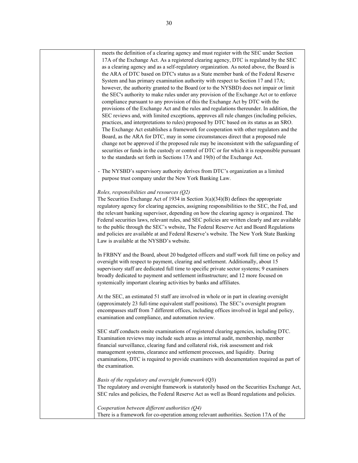meets the definition of a clearing agency and must register with the SEC under Section 17A of the Exchange Act. As a registered clearing agency, DTC is regulated by the SEC as a clearing agency and as a self-regulatory organization. As noted above, the Board is the ARA of DTC based on DTC's status as a State member bank of the Federal Reserve System and has primary examination authority with respect to Section 17 and 17A; however, the authority granted to the Board (or to the NYSBD) does not impair or limit the SEC's authority to make rules under any provision of the Exchange Act or to enforce compliance pursuant to any provision of this the Exchange Act by DTC with the provisions of the Exchange Act and the rules and regulations thereunder. In addition, the SEC reviews and, with limited exceptions, approves all rule changes (including policies, practices, and interpretations to rules) proposed by DTC based on its status as an SRO. The Exchange Act establishes a framework for cooperation with other regulators and the Board, as the ARA for DTC, may in some circumstances direct that a proposed rule change not be approved if the proposed rule may be inconsistent with the safeguarding of securities or funds in the custody or control of DTC or for which it is responsible pursuant to the standards set forth in Sections 17A and 19(b) of the Exchange Act. - The NYSBD's supervisory authority derives from DTC's organization as a limited purpose trust company under the New York Banking Law. *Roles, responsibilities and resources (Q2)* The Securities Exchange Act of 1934 in Section 3(a)(34)(B) defines the appropriate regulatory agency for clearing agencies, assigning responsibilities to the SEC, the Fed, and the relevant banking supervisor, depending on how the clearing agency is organized. The Federal securities laws, relevant rules, and SEC policies are written clearly and are available to the public through the SEC's website, The Federal Reserve Act and Board Regulations and policies are available at and Federal Reserve's website. The New York State Banking Law is available at the NYSBD's website. In FRBNY and the Board, about 20 budgeted officers and staff work full time on policy and oversight with respect to payment, clearing and settlement. Additionally, about 15 supervisory staff are dedicated full time to specific private sector systems; 9 examiners broadly dedicated to payment and settlement infrastructure; and 12 more focused on systemically important clearing activities by banks and affiliates. At the SEC, an estimated 51 staff are involved in whole or in part in clearing oversight (approximately 23 full-time equivalent staff positions). The SEC's oversight program encompasses staff from 7 different offices, including offices involved in legal and policy, examination and compliance, and automation review. SEC staff conducts onsite examinations of registered clearing agencies, including DTC. Examination reviews may include such areas as internal audit, membership, member financial surveillance, clearing fund and collateral risk, risk assessment and risk management systems, clearance and settlement processes, and liquidity. During examinations, DTC is required to provide examiners with documentation required as part of the examination. *Basis of the regulatory and oversight framework* (Q3) The regulatory and oversight framework is statutorily based on the Securities Exchange Act, SEC rules and policies, the Federal Reserve Act as well as Board regulations and policies. *Cooperation between different authorities (Q4)*  There is a framework for co-operation among relevant authorities. Section 17A of the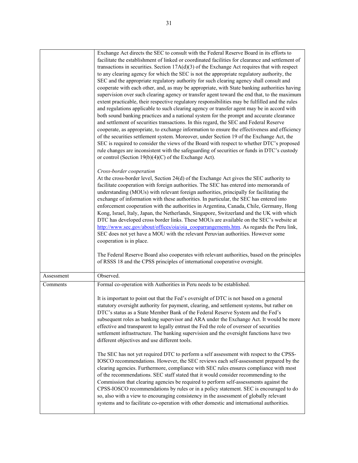|            | Exchange Act directs the SEC to consult with the Federal Reserve Board in its efforts to<br>facilitate the establishment of linked or coordinated facilities for clearance and settlement of<br>transactions in securities. Section $17A(d)(3)$ of the Exchange Act requires that with respect<br>to any clearing agency for which the SEC is not the appropriate regulatory authority, the<br>SEC and the appropriate regulatory authority for such clearing agency shall consult and<br>cooperate with each other, and, as may be appropriate, with State banking authorities having<br>supervision over such clearing agency or transfer agent toward the end that, to the maximum<br>extent practicable, their respective regulatory responsibilities may be fulfilled and the rules<br>and regulations applicable to such clearing agency or transfer agent may be in accord with<br>both sound banking practices and a national system for the prompt and accurate clearance<br>and settlement of securities transactions. In this regard, the SEC and Federal Reserve<br>cooperate, as appropriate, to exchange information to ensure the effectiveness and efficiency<br>of the securities settlement system. Moreover, under Section 19 of the Exchange Act, the<br>SEC is required to consider the views of the Board with respect to whether DTC's proposed<br>rule changes are inconsistent with the safeguarding of securities or funds in DTC's custody<br>or control (Section $19(b)(4)(C)$ of the Exchange Act). |
|------------|----------------------------------------------------------------------------------------------------------------------------------------------------------------------------------------------------------------------------------------------------------------------------------------------------------------------------------------------------------------------------------------------------------------------------------------------------------------------------------------------------------------------------------------------------------------------------------------------------------------------------------------------------------------------------------------------------------------------------------------------------------------------------------------------------------------------------------------------------------------------------------------------------------------------------------------------------------------------------------------------------------------------------------------------------------------------------------------------------------------------------------------------------------------------------------------------------------------------------------------------------------------------------------------------------------------------------------------------------------------------------------------------------------------------------------------------------------------------------------------------------------------------------------|
|            | Cross-border cooperation<br>At the cross-border level, Section 24(d) of the Exchange Act gives the SEC authority to<br>facilitate cooperation with foreign authorities. The SEC has entered into memoranda of<br>understanding (MOUs) with relevant foreign authorities, principally for facilitating the<br>exchange of information with these authorities. In particular, the SEC has entered into<br>enforcement cooperation with the authorities in Argentina, Canada, Chile, Germany, Hong<br>Kong, Israel, Italy, Japan, the Netherlands, Singapore, Switzerland and the UK with which<br>DTC has developed cross border links. These MOUs are available on the SEC's website at<br>http://www.sec.gov/about/offices/oia/oia_cooparrangements.htm. As regards the Peru link,<br>SEC does not yet have a MOU with the relevant Peruvian authorities. However some<br>cooperation is in place.<br>The Federal Reserve Board also cooperates with relevant authorities, based on the principles                                                                                                                                                                                                                                                                                                                                                                                                                                                                                                                               |
|            | of RSSS 18 and the CPSS principles of international cooperative oversight.                                                                                                                                                                                                                                                                                                                                                                                                                                                                                                                                                                                                                                                                                                                                                                                                                                                                                                                                                                                                                                                                                                                                                                                                                                                                                                                                                                                                                                                       |
| Assessment | Observed.                                                                                                                                                                                                                                                                                                                                                                                                                                                                                                                                                                                                                                                                                                                                                                                                                                                                                                                                                                                                                                                                                                                                                                                                                                                                                                                                                                                                                                                                                                                        |
| Comments   | Formal co-operation with Authorities in Peru needs to be established.                                                                                                                                                                                                                                                                                                                                                                                                                                                                                                                                                                                                                                                                                                                                                                                                                                                                                                                                                                                                                                                                                                                                                                                                                                                                                                                                                                                                                                                            |
|            | It is important to point out that the Fed's oversight of DTC is not based on a general<br>statutory oversight authority for payment, clearing, and settlement systems, but rather on<br>DTC's status as a State Member Bank of the Federal Reserve System and the Fed's<br>subsequent roles as banking supervisor and ARA under the Exchange Act. It would be more<br>effective and transparent to legally entrust the Fed the role of overseer of securities<br>settlement infrastructure. The banking supervision and the oversight functions have two<br>different objectives and use different tools.                                                                                                                                                                                                                                                                                                                                                                                                                                                                                                                                                                                                                                                                                                                                                                                                                                                                                                                        |
|            | The SEC has not yet required DTC to perform a self assessment with respect to the CPSS-<br>IOSCO recommendations. However, the SEC reviews each self-assessment prepared by the<br>clearing agencies. Furthermore, compliance with SEC rules ensures compliance with most<br>of the recommendations. SEC staff stated that it would consider recommending to the<br>Commission that clearing agencies be required to perform self-assessments against the<br>CPSS-IOSCO recommendations by rules or in a policy statement. SEC is encouraged to do<br>so, also with a view to encouraging consistency in the assessment of globally relevant<br>systems and to facilitate co-operation with other domestic and international authorities.                                                                                                                                                                                                                                                                                                                                                                                                                                                                                                                                                                                                                                                                                                                                                                                        |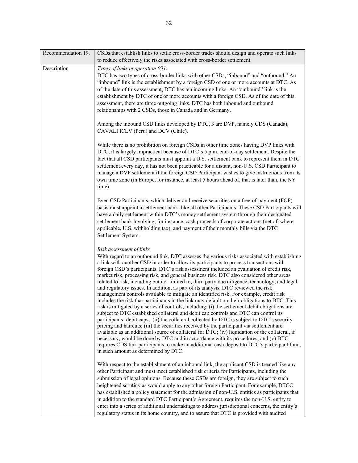| Recommendation 19. | CSDs that establish links to settle cross-border trades should design and operate such links<br>to reduce effectively the risks associated with cross-border settlement.                                                                                                                                                                                                                                                                                                                                                                                                                                                                                                                                                                                                                                                                                                                                                                                                                                                                                                                                                                                                                                                                                                                                                                                                                                                                                                                                               |  |  |
|--------------------|------------------------------------------------------------------------------------------------------------------------------------------------------------------------------------------------------------------------------------------------------------------------------------------------------------------------------------------------------------------------------------------------------------------------------------------------------------------------------------------------------------------------------------------------------------------------------------------------------------------------------------------------------------------------------------------------------------------------------------------------------------------------------------------------------------------------------------------------------------------------------------------------------------------------------------------------------------------------------------------------------------------------------------------------------------------------------------------------------------------------------------------------------------------------------------------------------------------------------------------------------------------------------------------------------------------------------------------------------------------------------------------------------------------------------------------------------------------------------------------------------------------------|--|--|
| Description        | Types of links in operation $(Q1)$                                                                                                                                                                                                                                                                                                                                                                                                                                                                                                                                                                                                                                                                                                                                                                                                                                                                                                                                                                                                                                                                                                                                                                                                                                                                                                                                                                                                                                                                                     |  |  |
|                    | DTC has two types of cross-border links with other CSDs, "inbound" and "outbound." An<br>"inbound" link is the establishment by a foreign CSD of one or more accounts at DTC. As<br>of the date of this assessment, DTC has ten incoming links. An "outbound" link is the<br>establishment by DTC of one or more accounts with a foreign CSD. As of the date of this<br>assessment, there are three outgoing links. DTC has both inbound and outbound<br>relationships with 2 CSDs, those in Canada and in Germany.                                                                                                                                                                                                                                                                                                                                                                                                                                                                                                                                                                                                                                                                                                                                                                                                                                                                                                                                                                                                    |  |  |
|                    | Among the inbound CSD links developed by DTC, 3 are DVP, namely CDS (Canada),<br>CAVALI ICLV (Peru) and DCV (Chile).                                                                                                                                                                                                                                                                                                                                                                                                                                                                                                                                                                                                                                                                                                                                                                                                                                                                                                                                                                                                                                                                                                                                                                                                                                                                                                                                                                                                   |  |  |
|                    | While there is no prohibition on foreign CSDs in other time zones having DVP links with<br>DTC, it is largely impractical because of DTC's 5 p.m. end-of-day settlement. Despite the<br>fact that all CSD participants must appoint a U.S. settlement bank to represent them in DTC<br>settlement every day, it has not been practicable for a distant, non-U.S. CSD Participant to<br>manage a DVP settlement if the foreign CSD Participant wishes to give instructions from its<br>own time zone (in Europe, for instance, at least 5 hours ahead of, that is later than, the NY<br>time).                                                                                                                                                                                                                                                                                                                                                                                                                                                                                                                                                                                                                                                                                                                                                                                                                                                                                                                          |  |  |
|                    | Even CSD Participants, which deliver and receive securities on a free-of-payment (FOP)<br>basis must appoint a settlement bank, like all other Participants. These CSD Participants will<br>have a daily settlement within DTC's money settlement system through their designated<br>settlement bank involving, for instance, cash proceeds of corporate actions (net of, where<br>applicable, U.S. withholding tax), and payment of their monthly bills via the DTC<br>Settlement System.                                                                                                                                                                                                                                                                                                                                                                                                                                                                                                                                                                                                                                                                                                                                                                                                                                                                                                                                                                                                                             |  |  |
|                    | Risk assessment of links<br>With regard to an outbound link, DTC assesses the various risks associated with establishing<br>a link with another CSD in order to allow its participants to process transactions with<br>foreign CSD's participants. DTC's risk assessment included an evaluation of credit risk,<br>market risk, processing risk, and general business risk. DTC also considered other areas<br>related to risk, including but not limited to, third party due diligence, technology, and legal<br>and regulatory issues. In addition, as part of its analysis, DTC reviewed the risk<br>management controls available to mitigate an identified risk. For example, credit risk<br>includes the risk that participants in the link may default on their obligations to DTC. This<br>risk is mitigated by a series of controls, including: (i) the settlement debit obligations are<br>subject to DTC established collateral and debit cap controls and DTC can control its<br>participants' debit caps; (ii) the collateral collected by DTC is subject to DTC's security<br>pricing and haircuts; (iii) the securities received by the participant via settlement are<br>available as an additional source of collateral for DTC; (iv) liquidation of the collateral, if<br>necessary, would be done by DTC and in accordance with its procedures; and (v) DTC<br>requires CDS link participants to make an additional cash deposit to DTC's participant fund,<br>in such amount as determined by DTC. |  |  |
|                    | With respect to the establishment of an inbound link, the applicant CSD is treated like any<br>other Participant and must meet established risk criteria for Participants, including the<br>submission of legal opinions. Because these CSDs are foreign, they are subject to such<br>heightened scrutiny as would apply to any other foreign Participant. For example, DTCC<br>has established a policy statement for the admission of non-U.S. entities as participants that<br>in addition to the standard DTC Participant's Agreement, requires the non-U.S. entity to<br>enter into a series of additional undertakings to address jurisdictional concerns, the entity's<br>regulatory status in its home country, and to assure that DTC is provided with audited                                                                                                                                                                                                                                                                                                                                                                                                                                                                                                                                                                                                                                                                                                                                                |  |  |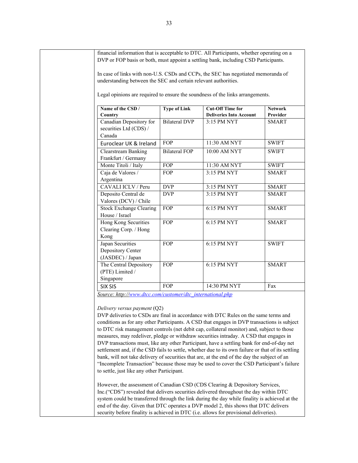| financial information that is acceptable to DTC. All Participants, whether operating on a<br>DVP or FOP basis or both, must appoint a settling bank, including CSD Participants.          |                      |                                                           |                            |
|-------------------------------------------------------------------------------------------------------------------------------------------------------------------------------------------|----------------------|-----------------------------------------------------------|----------------------------|
| In case of links with non-U.S. CSDs and CCPs, the SEC has negotiated memoranda of<br>understanding between the SEC and certain relevant authorities.                                      |                      |                                                           |                            |
| Legal opinions are required to ensure the soundness of the links arrangements.                                                                                                            |                      |                                                           |                            |
| Name of the CSD /<br>Country                                                                                                                                                              | <b>Type of Link</b>  | <b>Cut-Off Time for</b><br><b>Deliveries Into Account</b> | <b>Network</b><br>Provider |
| Canadian Depository for<br>securities Ltd (CDS) /<br>Canada                                                                                                                               | <b>Bilateral DVP</b> | 3:15 PM NYT                                               | <b>SMART</b>               |
| Euroclear UK & Ireland                                                                                                                                                                    | FOP                  | 11:30 AM NYT                                              | <b>SWIFT</b>               |
| <b>Clearstream Banking</b>                                                                                                                                                                | <b>Bilateral FOP</b> | 10:00 AM NYT                                              | <b>SWIFT</b>               |
| Frankfurt / Germany                                                                                                                                                                       |                      |                                                           |                            |
| Monte Titoli / Italy                                                                                                                                                                      | FOP                  | 11:30 AM NYT                                              | <b>SWIFT</b>               |
| Caja de Valores /<br>Argentina                                                                                                                                                            | FOP                  | 3:15 PM NYT                                               | <b>SMART</b>               |
| CAVALI ICLV / Peru                                                                                                                                                                        | <b>DVP</b>           | 3:15 PM NYT                                               | <b>SMART</b>               |
| Deposito Central de                                                                                                                                                                       | <b>DVP</b>           | 3:15 PM NYT                                               | <b>SMART</b>               |
| Valores (DCV) / Chile                                                                                                                                                                     |                      |                                                           |                            |
| <b>Stock Exchange Clearing</b><br>House / Israel                                                                                                                                          | FOP                  | 6:15 PM NYT                                               | <b>SMART</b>               |
| Hong Kong Securities<br>Clearing Corp. / Hong                                                                                                                                             | <b>FOP</b>           | 6:15 PM NYT                                               | <b>SMART</b>               |
| Kong<br>Japan Securities                                                                                                                                                                  | <b>FOP</b>           | 6:15 PM NYT                                               | <b>SWIFT</b>               |
| Depository Center                                                                                                                                                                         |                      |                                                           |                            |
| (JASDEC) / Japan                                                                                                                                                                          |                      |                                                           |                            |
| The Central Depository                                                                                                                                                                    | FOP                  | 6:15 PM NYT                                               | <b>SMART</b>               |
| (PTE) Limited /                                                                                                                                                                           |                      |                                                           |                            |
| Singapore                                                                                                                                                                                 | FOP                  | 14:30 PM NYT                                              |                            |
| SIX SIS                                                                                                                                                                                   |                      |                                                           | Fax                        |
| Source: http://www.dtcc.com/customer/dtc_international.php                                                                                                                                |                      |                                                           |                            |
| Delivery versus payment $(Q2)$                                                                                                                                                            |                      |                                                           |                            |
| DVP deliveries to CSDs are final in accordance with DTC Rules on the same terms and                                                                                                       |                      |                                                           |                            |
| conditions as for any other Participants. A CSD that engages in DVP transactions is subject                                                                                               |                      |                                                           |                            |
| to DTC risk management controls (net debit cap, collateral monitor) and, subject to those                                                                                                 |                      |                                                           |                            |
| measures, may redeliver, pledge or withdraw securities intraday. A CSD that engages in                                                                                                    |                      |                                                           |                            |
| DVP transactions must, like any other Participant, have a settling bank for end-of-day net                                                                                                |                      |                                                           |                            |
| settlement and, if the CSD fails to settle, whether due to its own failure or that of its settling                                                                                        |                      |                                                           |                            |
| bank, will not take delivery of securities that are, at the end of the day the subject of an<br>"Incomplete Transaction" because those may be used to cover the CSD Participant's failure |                      |                                                           |                            |
| to settle, just like any other Participant.                                                                                                                                               |                      |                                                           |                            |
| However, the assessment of Canadian CSD (CDS Clearing & Depository Services,                                                                                                              |                      |                                                           |                            |
|                                                                                                                                                                                           |                      |                                                           |                            |
| Inc.("CDS") revealed that delivers securities delivered throughout the day within DTC<br>system could be transferred through the link during the day while finality is achieved at the    |                      |                                                           |                            |
| end of the day. Given that DTC operates a DVP model 2, this shows that DTC delivers                                                                                                       |                      |                                                           |                            |
| security before finality is achieved in DTC (i.e. allows for provisional deliveries).                                                                                                     |                      |                                                           |                            |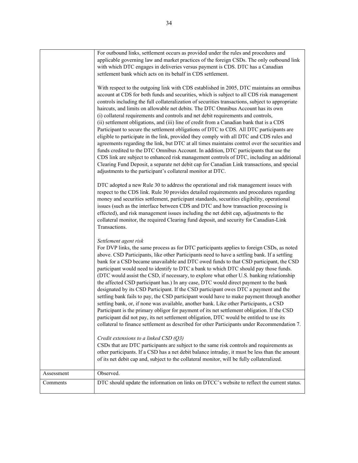|            | For outbound links, settlement occurs as provided under the rules and procedures and                                                                                                                                                                                                                                                                                                                                                                                                                                                                                                                                                                                                                                                                                                                                                                                                                                                                                                                                                                                                                                                                                                                         |  |  |  |
|------------|--------------------------------------------------------------------------------------------------------------------------------------------------------------------------------------------------------------------------------------------------------------------------------------------------------------------------------------------------------------------------------------------------------------------------------------------------------------------------------------------------------------------------------------------------------------------------------------------------------------------------------------------------------------------------------------------------------------------------------------------------------------------------------------------------------------------------------------------------------------------------------------------------------------------------------------------------------------------------------------------------------------------------------------------------------------------------------------------------------------------------------------------------------------------------------------------------------------|--|--|--|
|            |                                                                                                                                                                                                                                                                                                                                                                                                                                                                                                                                                                                                                                                                                                                                                                                                                                                                                                                                                                                                                                                                                                                                                                                                              |  |  |  |
|            | applicable governing law and market practices of the foreign CSDs. The only outbound link                                                                                                                                                                                                                                                                                                                                                                                                                                                                                                                                                                                                                                                                                                                                                                                                                                                                                                                                                                                                                                                                                                                    |  |  |  |
|            | with which DTC engages in deliveries versus payment is CDS. DTC has a Canadian                                                                                                                                                                                                                                                                                                                                                                                                                                                                                                                                                                                                                                                                                                                                                                                                                                                                                                                                                                                                                                                                                                                               |  |  |  |
|            | settlement bank which acts on its behalf in CDS settlement.                                                                                                                                                                                                                                                                                                                                                                                                                                                                                                                                                                                                                                                                                                                                                                                                                                                                                                                                                                                                                                                                                                                                                  |  |  |  |
|            | With respect to the outgoing link with CDS established in 2005, DTC maintains an omnibus<br>account at CDS for both funds and securities, which is subject to all CDS risk management<br>controls including the full collateralization of securities transactions, subject to appropriate<br>haircuts, and limits on allowable net debits. The DTC Omnibus Account has its own<br>(i) collateral requirements and controls and net debit requirements and controls,<br>(ii) settlement obligations, and (iii) line of credit from a Canadian bank that is a CDS<br>Participant to secure the settlement obligations of DTC to CDS. All DTC participants are<br>eligible to participate in the link, provided they comply with all DTC and CDS rules and<br>agreements regarding the link, but DTC at all times maintains control over the securities and<br>funds credited to the DTC Omnibus Account. In addition, DTC participants that use the<br>CDS link are subject to enhanced risk management controls of DTC, including an additional<br>Clearing Fund Deposit, a separate net debit cap for Canadian Link transactions, and special<br>adjustments to the participant's collateral monitor at DTC. |  |  |  |
|            | DTC adopted a new Rule 30 to address the operational and risk management issues with<br>respect to the CDS link. Rule 30 provides detailed requirements and procedures regarding<br>money and securities settlement, participant standards, securities eligibility, operational<br>issues (such as the interface between CDS and DTC and how transaction processing is<br>effected), and risk management issues including the net debit cap, adjustments to the<br>collateral monitor, the required Clearing fund deposit, and security for Canadian-Link<br>Transactions.                                                                                                                                                                                                                                                                                                                                                                                                                                                                                                                                                                                                                                   |  |  |  |
|            | Settlement agent risk<br>For DVP links, the same process as for DTC participants applies to foreign CSDs, as noted<br>above. CSD Participants, like other Participants need to have a settling bank. If a settling<br>bank for a CSD became unavailable and DTC owed funds to that CSD participant, the CSD<br>participant would need to identify to DTC a bank to which DTC should pay those funds.<br>(DTC would assist the CSD, if necessary, to explore what other U.S. banking relationship<br>the affected CSD participant has.) In any case, DTC would direct payment to the bank<br>designated by its CSD Participant. If the CSD participant owes DTC a payment and the<br>settling bank fails to pay, the CSD participant would have to make payment through another<br>settling bank, or, if none was available, another bank. Like other Participants, a CSD<br>Participant is the primary obligor for payment of its net settlement obligation. If the CSD<br>participant did not pay, its net settlement obligation, DTC would be entitled to use its<br>collateral to finance settlement as described for other Participants under Recommendation 7.                                          |  |  |  |
|            | Credit extensions to a linked CSD $(Q3)$<br>CSDs that are DTC participants are subject to the same risk controls and requirements as<br>other participants. If a CSD has a net debit balance intraday, it must be less than the amount<br>of its net debit cap and, subject to the collateral monitor, will be fully collateralized.                                                                                                                                                                                                                                                                                                                                                                                                                                                                                                                                                                                                                                                                                                                                                                                                                                                                         |  |  |  |
| Assessment | Observed.                                                                                                                                                                                                                                                                                                                                                                                                                                                                                                                                                                                                                                                                                                                                                                                                                                                                                                                                                                                                                                                                                                                                                                                                    |  |  |  |
| Comments   | DTC should update the information on links on DTCC's website to reflect the current status.                                                                                                                                                                                                                                                                                                                                                                                                                                                                                                                                                                                                                                                                                                                                                                                                                                                                                                                                                                                                                                                                                                                  |  |  |  |
|            |                                                                                                                                                                                                                                                                                                                                                                                                                                                                                                                                                                                                                                                                                                                                                                                                                                                                                                                                                                                                                                                                                                                                                                                                              |  |  |  |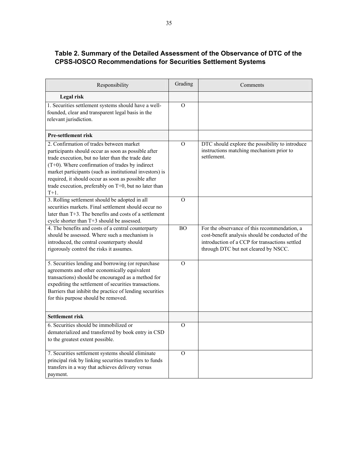## **Table 2. Summary of the Detailed Assessment of the Observance of DTC of the CPSS-IOSCO Recommendations for Securities Settlement Systems**

| Responsibility                                                                                                                                                                                                                                                                                                                                                                                    | Grading        | Comments                                                                                                                                                                                   |
|---------------------------------------------------------------------------------------------------------------------------------------------------------------------------------------------------------------------------------------------------------------------------------------------------------------------------------------------------------------------------------------------------|----------------|--------------------------------------------------------------------------------------------------------------------------------------------------------------------------------------------|
| Legal risk                                                                                                                                                                                                                                                                                                                                                                                        |                |                                                                                                                                                                                            |
| 1. Securities settlement systems should have a well-<br>founded, clear and transparent legal basis in the<br>relevant jurisdiction.                                                                                                                                                                                                                                                               | $\mathcal{O}$  |                                                                                                                                                                                            |
| <b>Pre-settlement risk</b>                                                                                                                                                                                                                                                                                                                                                                        |                |                                                                                                                                                                                            |
| 2. Confirmation of trades between market<br>participants should occur as soon as possible after<br>trade execution, but no later than the trade date<br>$(T+0)$ . Where confirmation of trades by indirect<br>market participants (such as institutional investors) is<br>required, it should occur as soon as possible after<br>trade execution, preferably on T+0, but no later than<br>$T+1$ . | $\mathcal{O}$  | DTC should explore the possibility to introduce<br>instructions matching mechanism prior to<br>settlement.                                                                                 |
| 3. Rolling settlement should be adopted in all<br>securities markets. Final settlement should occur no<br>later than $T+3$ . The benefits and costs of a settlement<br>cycle shorter than T+3 should be assessed.                                                                                                                                                                                 | $\Omega$       |                                                                                                                                                                                            |
| 4. The benefits and costs of a central counterparty<br>should be assessed. Where such a mechanism is<br>introduced, the central counterparty should<br>rigorously control the risks it assumes.                                                                                                                                                                                                   | B <sub>O</sub> | For the observance of this recommendation, a<br>cost-benefit analysis should be conducted of the<br>introduction of a CCP for transactions settled<br>through DTC but not cleared by NSCC. |
| 5. Securities lending and borrowing (or repurchase<br>agreements and other economically equivalent<br>transactions) should be encouraged as a method for<br>expediting the settlement of securities transactions.<br>Barriers that inhibit the practice of lending securities<br>for this purpose should be removed.                                                                              | $\mathcal{O}$  |                                                                                                                                                                                            |
| <b>Settlement risk</b>                                                                                                                                                                                                                                                                                                                                                                            |                |                                                                                                                                                                                            |
| 6. Securities should be immobilized or<br>dematerialized and transferred by book entry in CSD<br>to the greatest extent possible.                                                                                                                                                                                                                                                                 | $\Omega$       |                                                                                                                                                                                            |
| 7. Securities settlement systems should eliminate<br>principal risk by linking securities transfers to funds<br>transfers in a way that achieves delivery versus<br>payment.                                                                                                                                                                                                                      | $\Omega$       |                                                                                                                                                                                            |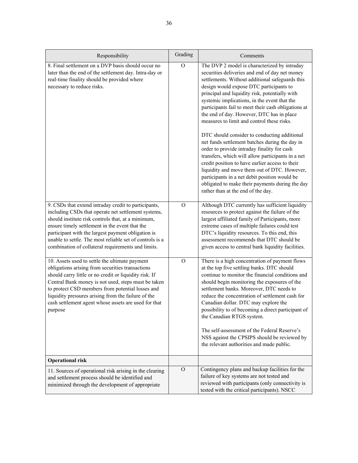| Responsibility                                                                                                                                                                                                                                                                                                                                                                                    | Grading        | Comments                                                                                                                                                                                                                                                                                                                                                                                                                                                                                                                                                                                                                                                                                                                                                                                                                                                                                            |
|---------------------------------------------------------------------------------------------------------------------------------------------------------------------------------------------------------------------------------------------------------------------------------------------------------------------------------------------------------------------------------------------------|----------------|-----------------------------------------------------------------------------------------------------------------------------------------------------------------------------------------------------------------------------------------------------------------------------------------------------------------------------------------------------------------------------------------------------------------------------------------------------------------------------------------------------------------------------------------------------------------------------------------------------------------------------------------------------------------------------------------------------------------------------------------------------------------------------------------------------------------------------------------------------------------------------------------------------|
| 8. Final settlement on a DVP basis should occur no<br>later than the end of the settlement day. Intra-day or<br>real-time finality should be provided where<br>necessary to reduce risks.                                                                                                                                                                                                         | $\mathcal{O}$  | The DVP 2 model is characterized by intraday<br>securities deliveries and end of day net money<br>settlements. Without additional safeguards this<br>design would expose DTC participants to<br>principal and liquidity risk, potentially with<br>systemic implications, in the event that the<br>participants fail to meet their cash obligations at<br>the end of day. However, DTC has in place<br>measures to limit and control these risks.<br>DTC should consider to conducting additional<br>net funds settlement batches during the day in<br>order to provide intraday finality for cash<br>transfers, which will allow participants in a net<br>credit position to have earlier access to their<br>liquidity and move them out of DTC. However,<br>participants in a net debit position would be<br>obligated to make their payments during the day<br>rather than at the end of the day. |
| 9. CSDs that extend intraday credit to participants,<br>including CSDs that operate net settlement systems,<br>should institute risk controls that, at a minimum,<br>ensure timely settlement in the event that the<br>participant with the largest payment obligation is                                                                                                                         | $\mathcal{O}$  | Although DTC currently has sufficient liquidity<br>resources to protect against the failure of the<br>largest affiliated family of Participants, more<br>extreme cases of multiple failures could test<br>DTC's liquidity resources. To this end, this                                                                                                                                                                                                                                                                                                                                                                                                                                                                                                                                                                                                                                              |
| unable to settle. The most reliable set of controls is a<br>combination of collateral requirements and limits.                                                                                                                                                                                                                                                                                    |                | assessment recommends that DTC should be<br>given access to central bank liquidity facilities.                                                                                                                                                                                                                                                                                                                                                                                                                                                                                                                                                                                                                                                                                                                                                                                                      |
| 10. Assets used to settle the ultimate payment<br>obligations arising from securities transactions<br>should carry little or no credit or liquidity risk. If<br>Central Bank money is not used, steps must be taken<br>to protect CSD members from potential losses and<br>liquidity pressures arising from the failure of the<br>cash settlement agent whose assets are used for that<br>purpose | $\overline{O}$ | There is a high concentration of payment flows<br>at the top five settling banks. DTC should<br>continue to monitor the financial conditions and<br>should begin monitoring the exposures of the<br>settlement banks. Moreover, DTC needs to<br>reduce the concentration of settlement cash for<br>Canadian dollar. DTC may explore the<br>possibility to of becoming a direct participant of<br>the Canadian RTGS system.<br>The self-assessment of the Federal Reserve's<br>NSS against the CPSIPS should be reviewed by<br>the relevant authorities and made public.                                                                                                                                                                                                                                                                                                                             |
| <b>Operational risk</b>                                                                                                                                                                                                                                                                                                                                                                           |                |                                                                                                                                                                                                                                                                                                                                                                                                                                                                                                                                                                                                                                                                                                                                                                                                                                                                                                     |
| 11. Sources of operational risk arising in the clearing<br>and settlement process should be identified and<br>minimized through the development of appropriate                                                                                                                                                                                                                                    | $\mathcal{O}$  | Contingency plans and backup facilities for the<br>failure of key systems are not tested and<br>reviewed with participants (only connectivity is<br>tested with the critical participants). NSCC                                                                                                                                                                                                                                                                                                                                                                                                                                                                                                                                                                                                                                                                                                    |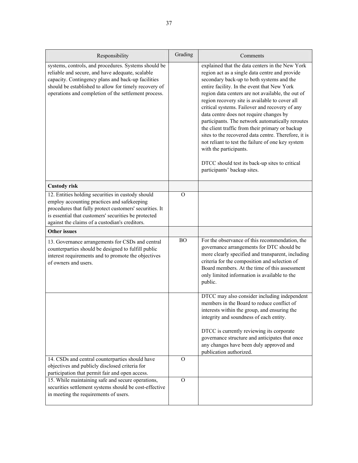| Responsibility                                                                                                                                                                                                                                                                  | Grading       | Comments                                                                                                                                                                                                                                                                                                                                                                                                                                                                                                                                                                                                                                                                                                                         |
|---------------------------------------------------------------------------------------------------------------------------------------------------------------------------------------------------------------------------------------------------------------------------------|---------------|----------------------------------------------------------------------------------------------------------------------------------------------------------------------------------------------------------------------------------------------------------------------------------------------------------------------------------------------------------------------------------------------------------------------------------------------------------------------------------------------------------------------------------------------------------------------------------------------------------------------------------------------------------------------------------------------------------------------------------|
| systems, controls, and procedures. Systems should be<br>reliable and secure, and have adequate, scalable<br>capacity. Contingency plans and back-up facilities<br>should be established to allow for timely recovery of<br>operations and completion of the settlement process. |               | explained that the data centers in the New York<br>region act as a single data centre and provide<br>secondary back-up to both systems and the<br>entire facility. In the event that New York<br>region data centers are not available, the out of<br>region recovery site is available to cover all<br>critical systems. Failover and recovery of any<br>data centre does not require changes by<br>participants. The network automatically reroutes<br>the client traffic from their primary or backup<br>sites to the recovered data centre. Therefore, it is<br>not reliant to test the failure of one key system<br>with the participants.<br>DTCC should test its back-up sites to critical<br>participants' backup sites. |
| <b>Custody risk</b>                                                                                                                                                                                                                                                             |               |                                                                                                                                                                                                                                                                                                                                                                                                                                                                                                                                                                                                                                                                                                                                  |
| 12. Entities holding securities in custody should<br>employ accounting practices and safekeeping<br>procedures that fully protect customers' securities. It<br>is essential that customers' securities be protected<br>against the claims of a custodian's creditors.           | $\Omega$      |                                                                                                                                                                                                                                                                                                                                                                                                                                                                                                                                                                                                                                                                                                                                  |
| <b>Other issues</b>                                                                                                                                                                                                                                                             |               |                                                                                                                                                                                                                                                                                                                                                                                                                                                                                                                                                                                                                                                                                                                                  |
| 13. Governance arrangements for CSDs and central<br>counterparties should be designed to fulfill public<br>interest requirements and to promote the objectives<br>of owners and users.                                                                                          | <b>BO</b>     | For the observance of this recommendation, the<br>governance arrangements for DTC should be<br>more clearly specified and transparent, including<br>criteria for the composition and selection of<br>Board members. At the time of this assessment<br>only limited information is available to the<br>public.                                                                                                                                                                                                                                                                                                                                                                                                                    |
|                                                                                                                                                                                                                                                                                 |               | DTCC may also consider including independent<br>members in the Board to reduce conflict of<br>interests within the group, and ensuring the<br>integrity and soundness of each entity.<br>DTCC is currently reviewing its corporate                                                                                                                                                                                                                                                                                                                                                                                                                                                                                               |
|                                                                                                                                                                                                                                                                                 |               | governance structure and anticipates that once<br>any changes have been duly approved and<br>publication authorized.                                                                                                                                                                                                                                                                                                                                                                                                                                                                                                                                                                                                             |
| 14. CSDs and central counterparties should have<br>objectives and publicly disclosed criteria for<br>participation that permit fair and open access.                                                                                                                            | $\Omega$      |                                                                                                                                                                                                                                                                                                                                                                                                                                                                                                                                                                                                                                                                                                                                  |
| 15. While maintaining safe and secure operations,<br>securities settlement systems should be cost-effective<br>in meeting the requirements of users.                                                                                                                            | $\mathcal{O}$ |                                                                                                                                                                                                                                                                                                                                                                                                                                                                                                                                                                                                                                                                                                                                  |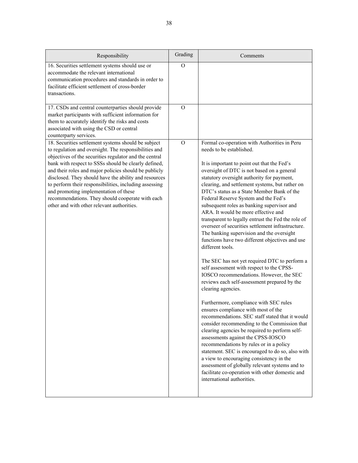| Responsibility                                                                                                                                                                                                                                                                                                                                                                                                                                                                                                                                        | Grading  | Comments                                                                                                                                                                                                                                                                                                                                                                                                                                                                                                                                                                                                                                                                                                                                                                                                                                                                                                                                                                                                                                                                                                                                                                                                                                                                                                                                                                                                                                                  |
|-------------------------------------------------------------------------------------------------------------------------------------------------------------------------------------------------------------------------------------------------------------------------------------------------------------------------------------------------------------------------------------------------------------------------------------------------------------------------------------------------------------------------------------------------------|----------|-----------------------------------------------------------------------------------------------------------------------------------------------------------------------------------------------------------------------------------------------------------------------------------------------------------------------------------------------------------------------------------------------------------------------------------------------------------------------------------------------------------------------------------------------------------------------------------------------------------------------------------------------------------------------------------------------------------------------------------------------------------------------------------------------------------------------------------------------------------------------------------------------------------------------------------------------------------------------------------------------------------------------------------------------------------------------------------------------------------------------------------------------------------------------------------------------------------------------------------------------------------------------------------------------------------------------------------------------------------------------------------------------------------------------------------------------------------|
| 16. Securities settlement systems should use or<br>accommodate the relevant international<br>communication procedures and standards in order to<br>facilitate efficient settlement of cross-border<br>transactions.                                                                                                                                                                                                                                                                                                                                   | $\Omega$ |                                                                                                                                                                                                                                                                                                                                                                                                                                                                                                                                                                                                                                                                                                                                                                                                                                                                                                                                                                                                                                                                                                                                                                                                                                                                                                                                                                                                                                                           |
| 17. CSDs and central counterparties should provide<br>market participants with sufficient information for<br>them to accurately identify the risks and costs<br>associated with using the CSD or central<br>counterparty services.                                                                                                                                                                                                                                                                                                                    | $\Omega$ |                                                                                                                                                                                                                                                                                                                                                                                                                                                                                                                                                                                                                                                                                                                                                                                                                                                                                                                                                                                                                                                                                                                                                                                                                                                                                                                                                                                                                                                           |
| 18. Securities settlement systems should be subject<br>to regulation and oversight. The responsibilities and<br>objectives of the securities regulator and the central<br>bank with respect to SSSs should be clearly defined,<br>and their roles and major policies should be publicly<br>disclosed. They should have the ability and resources<br>to perform their responsibilities, including assessing<br>and promoting implementation of these<br>recommendations. They should cooperate with each<br>other and with other relevant authorities. | $\Omega$ | Formal co-operation with Authorities in Peru<br>needs to be established.<br>It is important to point out that the Fed's<br>oversight of DTC is not based on a general<br>statutory oversight authority for payment,<br>clearing, and settlement systems, but rather on<br>DTC's status as a State Member Bank of the<br>Federal Reserve System and the Fed's<br>subsequent roles as banking supervisor and<br>ARA. It would be more effective and<br>transparent to legally entrust the Fed the role of<br>overseer of securities settlement infrastructure.<br>The banking supervision and the oversight<br>functions have two different objectives and use<br>different tools.<br>The SEC has not yet required DTC to perform a<br>self assessment with respect to the CPSS-<br>IOSCO recommendations. However, the SEC<br>reviews each self-assessment prepared by the<br>clearing agencies.<br>Furthermore, compliance with SEC rules<br>ensures compliance with most of the<br>recommendations. SEC staff stated that it would<br>consider recommending to the Commission that<br>clearing agencies be required to perform self-<br>assessments against the CPSS-IOSCO<br>recommendations by rules or in a policy<br>statement. SEC is encouraged to do so, also with<br>a view to encouraging consistency in the<br>assessment of globally relevant systems and to<br>facilitate co-operation with other domestic and<br>international authorities. |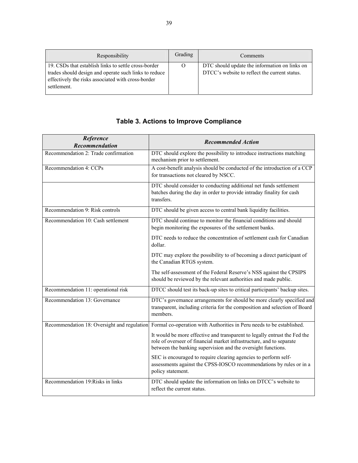| Responsibility                                                                                                                                                                     | Grading  | Comments                                                                                       |
|------------------------------------------------------------------------------------------------------------------------------------------------------------------------------------|----------|------------------------------------------------------------------------------------------------|
| 19. CSDs that establish links to settle cross-border<br>trades should design and operate such links to reduce<br>effectively the risks associated with cross-border<br>settlement. | $\Omega$ | DTC should update the information on links on<br>DTCC's website to reflect the current status. |

| <b>Table 3. Actions to Improve Compliance</b> |  |  |
|-----------------------------------------------|--|--|
|-----------------------------------------------|--|--|

| Reference<br>Recommendation                 | <b>Recommended Action</b>                                                                                                                                                                                         |
|---------------------------------------------|-------------------------------------------------------------------------------------------------------------------------------------------------------------------------------------------------------------------|
| Recommendation 2: Trade confirmation        | DTC should explore the possibility to introduce instructions matching<br>mechanism prior to settlement.                                                                                                           |
| Recommendation 4: CCPs                      | A cost-benefit analysis should be conducted of the introduction of a CCP<br>for transactions not cleared by NSCC.                                                                                                 |
|                                             | DTC should consider to conducting additional net funds settlement<br>batches during the day in order to provide intraday finality for cash<br>transfers.                                                          |
| Recommendation 9: Risk controls             | DTC should be given access to central bank liquidity facilities.                                                                                                                                                  |
| Recommendation 10: Cash settlement          | DTC should continue to monitor the financial conditions and should<br>begin monitoring the exposures of the settlement banks.                                                                                     |
|                                             | DTC needs to reduce the concentration of settlement cash for Canadian<br>dollar.                                                                                                                                  |
|                                             | DTC may explore the possibility to of becoming a direct participant of<br>the Canadian RTGS system.                                                                                                               |
|                                             | The self-assessment of the Federal Reserve's NSS against the CPSIPS<br>should be reviewed by the relevant authorities and made public.                                                                            |
| Recommendation 11: operational risk         | DTCC should test its back-up sites to critical participants' backup sites.                                                                                                                                        |
| Recommendation 13: Governance               | DTC's governance arrangements for should be more clearly specified and<br>transparent, including criteria for the composition and selection of Board<br>members.                                                  |
| Recommendation 18: Oversight and regulation | Formal co-operation with Authorities in Peru needs to be established.                                                                                                                                             |
|                                             | It would be more effective and transparent to legally entrust the Fed the<br>role of overseer of financial market infrastructure, and to separate<br>between the banking supervision and the oversight functions. |
|                                             | SEC is encouraged to require clearing agencies to perform self-<br>assessments against the CPSS-IOSCO recommendations by rules or in a<br>policy statement.                                                       |
| Recommendation 19: Risks in links           | DTC should update the information on links on DTCC's website to<br>reflect the current status.                                                                                                                    |